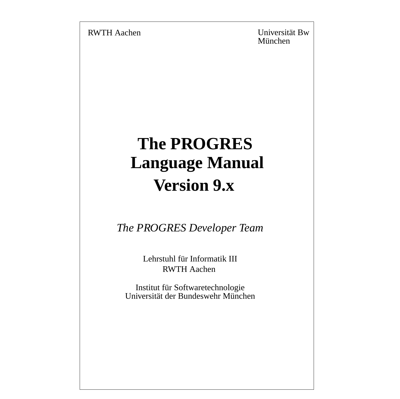RWTH Aachen Universität Bw München

# **The PROGRES Version 9.x Language Manual**

*The PROGRES Developer Team*

Lehrstuhl für Informatik III RWTH Aachen

Institut für Softwaretechnologie Universität der Bundeswehr München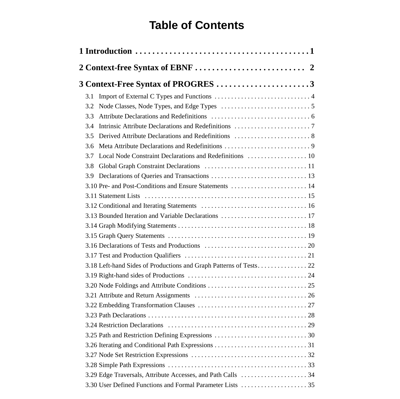# **Table of Contents**

| 3.1 |                                                                    |
|-----|--------------------------------------------------------------------|
| 3.2 |                                                                    |
| 3.3 |                                                                    |
| 3.4 |                                                                    |
| 3.5 | Derived Attribute Declarations and Redefinitions  8                |
| 3.6 |                                                                    |
| 3.7 | Local Node Constraint Declarations and Redefinitions  10           |
| 3.8 |                                                                    |
| 3.9 |                                                                    |
|     | 3.10 Pre- and Post-Conditions and Ensure Statements  14            |
|     |                                                                    |
|     |                                                                    |
|     | 3.13 Bounded Iteration and Variable Declarations  17               |
|     |                                                                    |
|     |                                                                    |
|     |                                                                    |
|     |                                                                    |
|     | 3.18 Left-hand Sides of Productions and Graph Patterns of Tests 22 |
|     |                                                                    |
|     |                                                                    |
|     |                                                                    |
|     |                                                                    |
|     |                                                                    |
|     |                                                                    |
|     |                                                                    |
|     |                                                                    |
|     |                                                                    |
|     |                                                                    |
|     |                                                                    |
|     |                                                                    |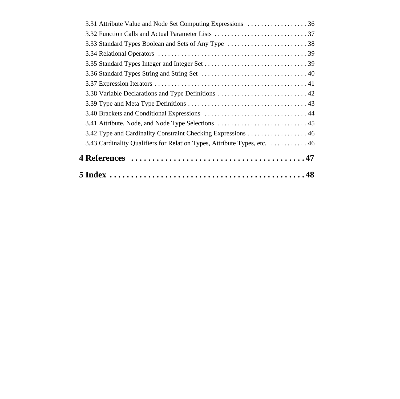| 3.43 Cardinality Qualifiers for Relation Types, Attribute Types, etc.  46 |
|---------------------------------------------------------------------------|
|                                                                           |
|                                                                           |
|                                                                           |
|                                                                           |
| 3.38 Variable Declarations and Type Definitions  42                       |
|                                                                           |
|                                                                           |
|                                                                           |
|                                                                           |
|                                                                           |
|                                                                           |
| 3.31 Attribute Value and Node Set Computing Expressions  36               |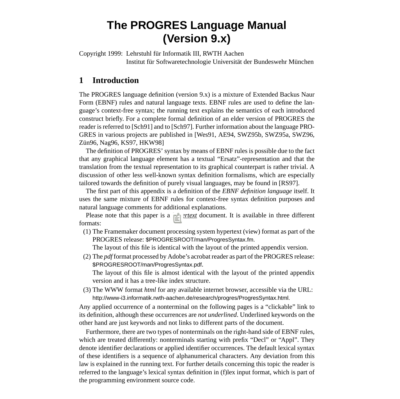# **The PROGRES Language Manual (Version 9.x)**

Copyright 1999: Lehrstuhl für Informatik III, RWTH Aachen Institut für Softwaretechnologie Universität der Bundeswehr München

# **1 Introduction**

The PROGRES language definition (version 9.x) is a mixture of Extended Backus Naur Form (EBNF) rules and natural language texts. EBNF rules are used to define the language's context-free syntax; the running text explains the semantics of each introduced [construct briefly. For a complete formal definition of an elder version of PROGRES the](#page-50-0) [reader is referred to \[Sch91\] and to \[Sch97\]. Further information about the language PRO-](#page-50-0)[GRES in various projects are published in \[Wes91, AE94, SWZ95b, SWZ95a, SWZ96,](#page-50-0) [Zün96, Nag96, KS97, H](#page-50-0)KW98]

The definition of PROGRES' syntax by means of EBNF rules is possible due to the fact [that any graphical language element has a textual "Ersatz"-representation and that the](#page-50-0) translation from the textual representation to its graphical counterpart is rather trivial. A [discussion of other less well-known syntax definition formalisms, which are especially](#page-51-0) tailored towards the definition of purely visual languages, may be found in [RS97].

The first part of this appendix is a definition of the *EBNF definition language* itself. It uses the same mixture of EBNF rules for context-free syntax definition purposes and natural language comments for additional explanations.

Please note that this paper is a *hypertext* document. It is available in three different formats:

(1) The Framemaker document processing system hypertext (view) format as part of the PROGRES release: \$PROGRESROOT/man/ProgresSyntax.fm.

The layout of this file is identical with the layout of the printed appendix version.

(2) The *pdf* format processed by Adobe's acrobat reader as part of the PROGRES release: \$PROGRESROOT/man/ProgresSyntax.pdf. The layout of this file is almost identical with the layout of the printed appendix

version and it has a tree-like index structure.

(3) The WWW format *html* for any available internet browser, accessible via the URL: http://www-i3.informatik.rwth-aachen.de/research/progres/ProgresSyntax.html.

Any applied occurrence of a nonterminal on the following pages is a "clickable" link to its definition, although these occurrences are *not underlined*. Underlined keywords on the other hand are just keywords and not links to different parts of the document.

Furthermore, there are two types of nonterminals on the right-hand side of EBNF rules, which are treated differently: nonterminals starting with prefix "Decl" or "Appl". They denote identifier declarations or applied identifier occurrences. The default lexical syntax of these identifiers is a sequence of alphanumerical characters. Any deviation from this law is explained in the running text. For further details concerning this topic the reader is referred to the language's lexical syntax definition in (f)lex input format, which is part of the programming environment source code.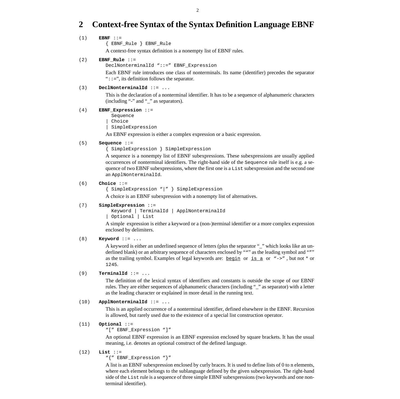# <span id="page-5-0"></span>**2 Context-free Syntax of the Syntax Definition Language EBNF**

### (1) **EBNF** ::=

{ EBNF\_Rule } EBNF\_Rule

A context-free syntax definition is a nonempty list of EBNF rules.

### (2) **EBNF\_Rule** ::=

DeclNonterminalId "::=" EBNF\_Expression

Each EBNF rule introduces one class of nonterminals. Its name (identifier) precedes the separator " $::='$ , its definition follows the separator.

## (3) **DeclNonterminalId** ::= ...

This is the declaration of a nonterminal identifier. It has to be a sequence of alphanumeric characters (including "-" and "\_" as separators).

#### (4) **EBNF\_Expression** ::=

Sequence

Choice

SimpleExpression

An EBNF expression is either a complex expression or a basic expression.

#### (5) **Sequence** ::=

{ SimpleExpression } SimpleExpression

A sequence is a nonempty list of EBNF subexpressions. These subexpressions are usually applied occurrences of nonterminal identifiers. The right-hand side of the Sequence rule itself is e.g. a sequence of two EBNF subexpressions, where the first one is a List subexpression and the second one an ApplNonterminalId.

#### (6) **Choice** ::=

{ SimpleExpression "|" } SimpleExpression

A choice is an EBNF subexpression with a nonempty list of alternatives.

#### (7) **SimpleExpression** ::=

 Keyword | TerminalId | ApplNonterminalId | Optional | List

A simple expression is either a keyword or a (non-)terminal identifier or a more complex expression enclosed by delimiters.

#### (8) **Keyword** ::= ...

A keyword is either an underlined sequence of letters (plus the separator "\_" which looks like an underlined blank) or an arbitrary sequence of characters enclosed by """ as the leading symbol and """ as the trailing symbol. Examples of legal keywords are: <u>begin</u> or <u>is a</u> or "->", but not \* or 1245.

# (9) **TerminalId** ::= ...

The definition of the lexical syntax of identifiers and constants is outside the scope of our EBNF rules. They are either sequences of alphanumeric characters (including "\_" as separator) with a letter as the leading character or explained in more detail in the running text.

# (10) **ApplNonterminalId** ::= ...

This is an applied occurrence of a nonterminal identifier, defined elsewhere in the EBNF. Recursion is allowed, but rarely used due to the existence of a special list construction operator.

#### (11) **Optional** ::=

"[" EBNF\_Expression "]"

An optional EBNF expression is an EBNF expression enclosed by square brackets. It has the usual meaning, i.e. denotes an optional construct of the defined language.

#### (12) **List** ::=

"{" EBNF\_Expression "}"

A list is an EBNF subexpression enclosed by curly braces. It is used to define lists of 0 to n elements, where each element belongs to the sublanguage defined by the given subexpression. The right-hand side of the List rule is a sequence of three simple EBNF subexpressions (two keywords and one nonterminal identifier).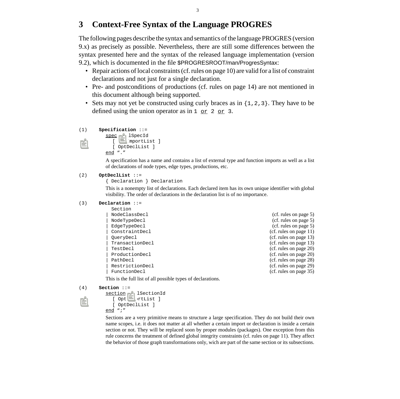# <span id="page-6-0"></span>**3 Context-Free Syntax of the Language PROGRES**

The following pages describe the syntax and semantics of the language PROGRES (version 9.x) as precisely as possible. Nevertheless, there are still some differences between the syntax presented here and the syntax of the released language implementation (version 9.2), which is documented in the file \$PROGRESROOT/man/ProgresSyntax:

- Repair actions of local constraints (cf. [rules on page 10\)](#page-13-0) are valid for a list of constraint declarations and not just for a single declaration.
- Pre- and postconditions of productions (cf. [rules on page 14\)](#page-17-0) are not mentioned in this document although being supported.
- Sets may not yet be constructed using curly braces as in {1,2,3}. They have to be defined using the union operator as in  $1 \text{ or } 2 \text{ or } 3$ .

```
(1) Specification ::=
         spec DeclSpecId
           [ OptImportList ]
```

```
[ OptDeclList ]
end "."
```
A specification has a name and contains a list of external type and function imports as well as a list of declarations of node types, edge types, productions, etc.

### (2) **OptDeclList** ::=

{ Declaration } Declaration

This is a nonempty list of declarations. Each declared item has its own unique identifier with global visibility. The order of declarations in the declaration list is of no importance.

```
(3) Declaration ::=
```
 Section | [NodeClassDecl](#page-8-0) (cf. [rules on page 5](#page-8-0)) [| NodeTypeDecl](#page-8-0) (cf. [rules on page 5](#page-8-0)) [| EdgeTypeDecl](#page-8-0) (cf. [rules on page 5](#page-8-0)) [| ConstraintDecl](#page-14-0) (cf. [rules on page 11](#page-14-0)) [| QueryDecl](#page-16-0) (cf. [rules on page 13](#page-16-0)) [| TransactionDecl](#page-16-0) (cf. [rules on page 13](#page-16-0)) [| TestDecl](#page-23-0) (cf. [rules on page 20](#page-23-0)) ProductionDecl (cf. [rules on page 20](#page-23-0)) PathDecl (cf. [rules on page 28](#page-31-0)) [| RestrictionDecl](#page-32-0) (cf. [rules on page 29](#page-32-0))

[| FunctionDecl](#page-38-0) (cf. [rules on page 35](#page-38-0))

This is the full list of all possible types of declarations.

```
(4) Section ::=
```

```
section DeclSectionId
  [ OptImportList ]
  [ OptDeclList ]
end ";"
```
Sections are a very primitive means to structure a large specification. They do not build their own name scopes, i.e. it does not matter at all whether a certain import or declaration is inside a certain section or not. They will be replaced soon by proper modules (packages). One exception from this rule concerns the treatment of defined global integrity constraints (cf. [rules on page 11\)](#page-14-0). They affect the behavior of those graph transformations only, wich are part of the same section or its subsections.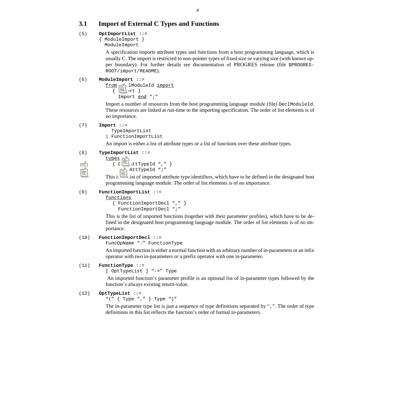# <span id="page-7-0"></span>**3.1 Import of External C Types and Functions**

# (5) **OptImportList** ::=

{ ModuleImport }

# ModuleImport

A specification imports attribute types and functions from a host programming language, which is usually C. The import is restricted to non-pointer types of fixed size or varying size (with known upper boundary). For further details see documentation of PROGRES release (file \$PROGRES-ROOT/import/README).

# (6) **ModuleImport** ::=

from DeclModuleId import

{ Import } Import end ";"

Import a number of resources from the host programming language module (file) DeclModuleId. These resources are linked at run-time to the importing specification. The order of list elements is of no importance.

### (7) **Import** ::=

```
 TypeImportList
```

```
| FunctionImportList
```
An import is either a list of attribute types or a list of functions over these attribute types.

# (8) **TypeImportList** ::=

types

```
{ DeclAttTypeId "," }
   DeclAttTypeId ";"
```
This is the list of imported attribute type identifiers, which have to be defined in the designated host programming language module. The order of list elements is of no importance.

# (9) **FunctionImportList** ::=

functions

```
{ FunctionImportDecl "," }
  FunctionImportDecl ";"
```
This is the list of imported functions (together with their parameter profiles), which have to be defined in the designated host programming language module. The order of list elements is of no importance.

# (10) **FunctionImportDecl** [::=](#page-38-0)

[FuncOpName ":" F](#page-38-0)unctionType

An imported function is either a normal function with an arbitrary number of in-parameters or an infix operator with two in-parameters or a prefix operator with one in-parameter.

# (11) **FunctionType** ::=

[ OptTypeList ] "->" [Type](#page-46-0)

An imported function's parameter profile is an optional list of in-parameter types followed by the function's always existing return-value.

# (12) **OptTypeList** [::=](#page-46-0)

```
"(" { Type "," } Type ")"
```
The in-parameter type list is just a sequence of type definitions separated by ",". The order of type definitions in this list reflects the function's order of formal in-parameters.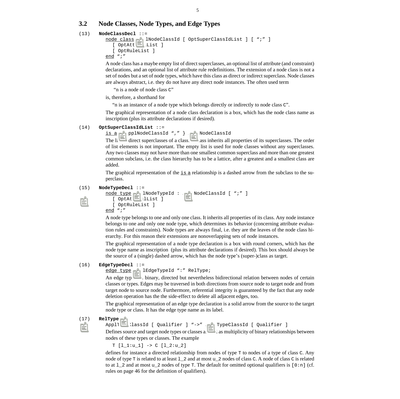# <span id="page-8-0"></span>**3.2 Node Classes, Node Types, and Edge Types**

#### (13) **NodeClassDecl** ::=

```
node class DeclNodeClassId [ OptSuperClassIdList ] [ ";" ]
  [ OptAttDeclList ]
  [ OptRuleList ]
end ";"
```
A node class has a maybe empty list of direct superclasses, an optional list of attribute (and constraint) declarations, and an optional list of attribute rule redefinitions. The extension of a node class is not a set of nodes but a set of node types, which have this class as direct or indirect superclass. Node classes are always abstract, i.e. they do not have any direct node instances. The often used term

"n is a node of node class C"

is, therefore, a shorthand for

"n is an instance of a node type which belongs directly or indirectly to node class C".

The graphical representation of a node class declaration is a box, which has the node class name as inscription (plus its attribute declarations if desired).

### (14) **OptSuperClassIdList** ::=

is a { ApplNodeClassId "," } ApplNodeClassId

The list of direct superclasses of a class. A class inherits all properties of its superclasses. The order of list elements is not important. The empty list is used for node classes without any superclasses. Any two classes may not have more than one smallest common superclass and more than one greatest common subclass, i.e. the class hierarchy has to be a lattice, after a greatest and a smallest class are added.

The graphical representation of the  $\pm s$  a relationship is a dashed arrow from the subclass to the superclass.

#### (15) **NodeTypeDecl** ::=

```
node type DeclNodeTypeId : ApplNodeClassId [ ";" ]
  [ OptAttDeclList ]
  [ OptRuleList ]
end ";"
```
A node type belongs to one and only one class. It inherits all properties of its class. Any node instance belongs to one and only one node type, which determines its behavior (concerning attribute evaluation rules and constraints). Node types are always final, i.e. they are the leaves of the node class hierarchy. For this reason their extensions are nonoverlapping sets of node instances.

The graphical representation of a node type declaration is a box with round corners, which has the node type name as inscription (plus its attribute declarations if desired). This box should always be the source of a (single) dashed arrow, which has the node type's (super-)class as target.

#### (16) **EdgeTypeDecl** ::=

edge type DeclEdgeTypeId ":" RelType;

An edge type is a binary, directed but nevertheless bidirectional relation between nodes of certain classes or types. Edges may be traversed in both directions from source node to target node and from target node to source node. Furthermore, referential integrity is guaranteed by the fact that any node deletion operation has the the side-effect to delete all adjacent edges, too.

The graphical representation of an edge type declaration is a solid arrow from the source to the target node type or class. It has the edge type name as its label.

#### (17) **RelType** ::=

ApplTypeClassId [ [Qualifier \] "->" A](#page-49-0)pplTypeClassId [ [Qualifier \]](#page-49-0)

Defines source and target node types or classes as well as multiplicity of binary relationships between nodes of these types or classes. The example

 $T$  [1\_1:u\_1] ->  $C$  [1\_2:u\_2]

defines for instance a directed relationship from nodes of type T to nodes of a type of class C. Any node of type T is related to at least l\_2 and at most u\_2 nodes of class C. A node of class C is related to at  $1_2$  and at most u\_2 nodes of type T. The default for omitted optional qualifiers is  $[0:n]$  (cf. [rules on page 46 f](#page-49-0)or the definition of qualifiers).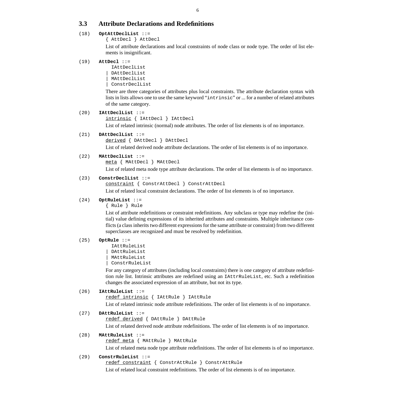# <span id="page-9-0"></span>**3.3 Attribute Declarations and Redefinitions**

# (18) **OptAttDeclList** ::=

{ AttDecl } AttDecl

List of attribute declarations and local constraints of node class or node type. The order of list elements is insignificant.

### (19) **AttDecl** ::=

 IAttDeclList DAttDeclList | MAttDeclList ConstrDeclList

There are three categories of attributes plus local constraints. The attribute declaration syntax with lists in lists allows one to use the same keyword "intrinsic" or ... for a number of related attributes of the same category.

### (20) **IAttDeclList** ::=

```
intrinsic { IAttDecl } IAttDecl
```
List of related intrinsic (normal) node attributes. The order of list elements is of no importance.

# (21) **DAttDeclList** ::=

derived [{ DAttDecl } DAttDecl](#page-11-0)

List of related derived node attribute declarations. The order of list elements is of no importance.

# (22) **MAttDeclList** ::=

meta [{ MAttDecl } MAttDecl](#page-12-0)

List of related meta node type attribute declarations. The order of list elements is of no importance.

### (23) **ConstrDeclList** ::=

```
constraint { ConstrAttDecl } ConstrAttDecl
```
List of related local constraint declarations. The order of list elements is of no importance.

# (24) **OptRuleList** ::=

{ Rule } Rule

List of attribute redefinitions or constraint redefinitions. Any subclass or type may redefine the (initial) value defining expressions of its inherited attributes and constraints. Multiple inheritance conflicts (a class inherits two different expressions for the same attribute or constraint) from two different superclasses are recognized and must be resolved by redefinition.

### (25) **OptRule** ::=

IAttRuleList | DAttRuleList | MAttRuleList ConstrRuleList

For any category of attributes (including local constraints) there is one category of attribute redefinition rule list. Intrinsic attributes are redefined using an IAttrRuleList, etc. Such a redefinition changes the associated expression of an attribute, but not its type.

# (26) **IAttRuleList** ::=

redef intrinsic [{ IAttRule } IAttRule](#page-10-0)

List of related intrinsic node attribute redefinitions. The order of list elements is of no importance.

# (27) **DAttRuleList** ::=

redef derived [{ DAttRule } DAttRule](#page-11-0)

List of related derived node attribute redefinitions. The order of list elements is of no importance.

## (28) **MAttRuleList** ::=

redef meta [{ MAttRule } MAttRule](#page-12-0)

List of related meta node type attribute redefinitions. The order of list elements is of no importance.

### (29) **ConstrRuleList** ::=

redef constraint [{ ConstrAttRule } ConstrAttRule](#page-13-0)

List of related local constraint redefinitions. The order of list elements is of no importance.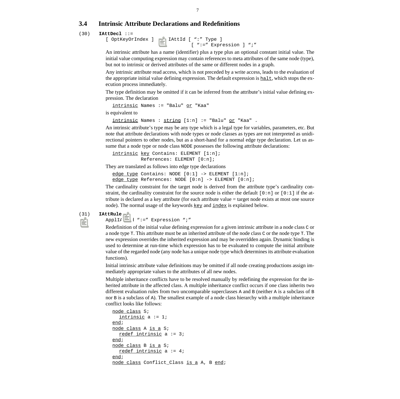# <span id="page-10-0"></span>**3.4 Intrinsic Attribute Declarations and Redefinitions**

#### (30) **IAttDecl** [::=](#page-12-0)

```
[ OptKeyOrIndex ] DeclIAttId [ ":" Type ]
                                [ ":=" Expression ] ";"
```
An intrinsic attribute has a name (identifier) plus a type plus an optional constant initial value. The initial value computing expression may contain references to meta attributes of the same node (type), but not to intrinsic or derived attributes of the same or different nodes in a graph.

Any intrinsic attribute read access, which is not preceded by a write access, leads to the evaluation of the appropriate initial value defining expression. The default expression is  $hat$  then the execution process immediately.

The type definition may be omitted if it can be inferred from the attribute's initial value defining expression. The declaration

```
intrinsic Names := "Balu" or "Kaa"
```
is equivalent to

```
intrinsic Names : string [1:n] := "Balu" or "Kaa" .
```
An intrinsic attribute's type may be any type which is a legal type for variables, parameters, etc. But note that attribute declarations with node types or node classes as types are not interpreted as unidirectional pointers to other nodes, but as a short-hand for a normal edge type declaration. Let us assume that a node type or node class NODE possesses the following attribute declarations:

```
intrinsic key Contains: ELEMENT [1:n];
           References: ELEMENT [0:n];
```
They are translated as follows into edge type declarations

```
edge type Contains: NODE [0:1] -> ELEMENT [1:n];
edge type References: NODE [0:n] -> ELEMENT [0:n];
```
The cardinality constraint for the target node is derived from the attribute type's cardinality constraint, the cardinality constraint for the source node is either the default  $[0:n]$  or  $[0:1]$  if the attribute is declared as a key attribute (for each attribute value = target node exists at most one source node). The normal usage of the keywords  $\text{key}$  and  $\text{index}$  is explained below.

#### (31) **IAttRule** ::=

ApplIAttId ":=" [Expression ";"](#page-39-0)

Redefinition of the initial value defining expression for a given intrinsic attribute in a node class  $\sigma$  or a node type T. This attribute must be an inherited attribute of the node class C or the node type T. The new expression overrides the inherited expression and may be overridden again. Dynamic binding is used to determine at run-time which expression has to be evaluated to compute the initial attribute value of the regarded node (any node has a unique node type which determines its attribute evaluation functions).

Initial intrinsic attribute value definitions may be omitted if all node creating productions assign immediately appropriate values to the attributes of all new nodes.

Multiple inheritance conflicts have to be resolved manually by redefining the expression for the inherited attribute in the affected class. A multiple inheritance conflict occurs if one class inherits two different evaluation rules from two uncomparable superclasses A and B (neither A is a subclass of B nor B is a subclass of A). The smallest example of a node class hierarchy with a multiple inheritance conflict looks like follows:

```
node class S;
  intrinsic a := 1;
end;
node class A is a S;
  redef intrinsic a := 3;
end;
node class B is a S;
  redef intrinsic a := 4;
end;
node class Conflict_Class is a A, B end;
```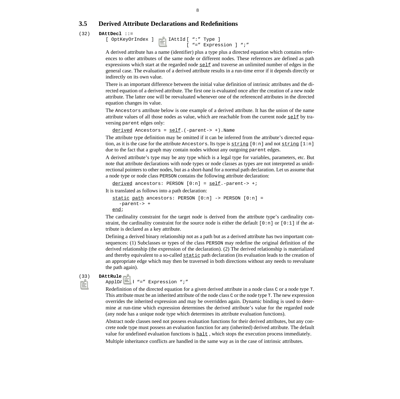# <span id="page-11-0"></span>**3.5 Derived Attribute Declarations and Redefinitions**

### (32) **DAttDecl** [::=](#page-12-0)

```
[ OptKeyOrIndex ] DType ]
                      [ "=" Expression ] ";"
```
A derived attribute has a name (identifier) plus a type plus a directed equation which contains references to other attributes of the same node or different nodes. These references are defined as path expressions which start at the regarded node  $\leq \ell \leq 1$  and traverse an unlimited number of edges in the general case. The evaluation of a derived attribute results in a run-time error if it depends directly or indirectly on its own value.

There is an important difference between the initial value definition of intrinsic attributes and the directed equation of a derived attribute. The first one is evaluated once after the creation of a new node attribute. The latter one will be reevaluated whenever one of the referenced attributes in the directed equation changes its value.

The Ancestors attribute below is one example of a derived attribute. It has the union of the name attribute values of all those nodes as value, which are reachable from the current node  $\frac{\text{self}}{\text{set}}$  by traversing parent edges only:

```
derived Ancestors = <u>self</u>. (-parent-> +). Name</u>
```
The attribute type definition may be omitted if it can be inferred from the attribute's directed equation, as it is the case for the attribute Ancestors. Its type is  $\frac{\text{string}}{0:n}$  and not  $\frac{\text{string}}{1:n}$ due to the fact that a graph may contain nodes without any outgoing parent edges.

A derived attribute's type may be any type which is a legal type for variables, parameters, etc. But note that attribute declarations with node types or node classes as types are not interpreted as unidirectional pointers to other nodes, but as a short-hand for a normal path declaration. Let us assume that a node type or node class PERSON contains the following attribute declaration:

```
derived ancestors: PERSON [0:n] = \underline{\text{self}}.-parent-> +;
It is translated as follows into a path declaration:
```

```
static path ancestors: PERSON [0:n] -> PERSON [0:n] =
  -parent-> +
end;
```
The cardinality constraint for the target node is derived from the attribute type's cardinality constraint, the cardinality constraint for the source node is either the default  $[0:n]$  or  $[0:1]$  if the attribute is declared as a key attribute.

Defining a derived binary relationship not as a path but as a derived attribute has two important consequences: (1) Subclasses or types of the class PERSON may redefine the original definition of the derived relationship (the expression of the declaration). (2) The derived relationship is materialized and thereby equivalent to a so-called static path declaration (its evaluation leads to the creation of an appropriate edge which may then be traversed in both directions without any needs to reevaluate the path again).

### (33) **DAttRule** ::=

### ApplDAttId "=" [Expression ";"](#page-39-0)

Redefinition of the directed equation for a given derived attribute in a node class C or a node type T. This attribute must be an inherited attribute of the node class C or the node type T. The new expression overrides the inherited expression and may be overridden again. Dynamic binding is used to determine at run-time which expression determines the derived attribute's value for the regarded node (any node has a unique node type which determines its attribute evaluation functions).

Abstract node classes need not possess evaluation functions for their derived attributes, but any concrete node type must possess an evaluation function for any (inherited) derived attribute. The default value for undefined evaluation functions is  $\underline{halt}$ , which stops the execution process immediately.

Multiple inheritance conflicts are handled in the same way as in the case of intrinsic attributes.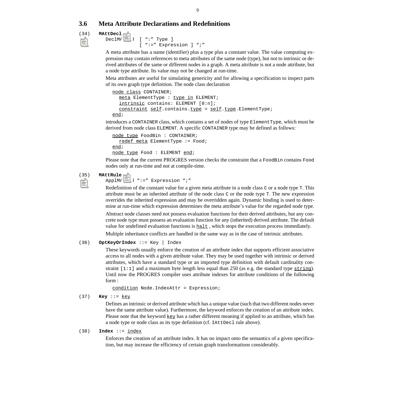# <span id="page-12-0"></span>**3.6 Meta Attribute Declarations and Redefinitions**

### (34) **MAttDecl** ::=

```
DeclMAttId [ ":" Type ]
            [ ":=" Expression ] ";"
```
A meta attribute has a name (identifier) plus a type plus a constant value. The value computing expression may contain references to meta attributes of the same node (type), but not to intrinsic or derived attributes of the same or different nodes in a graph. A meta attribute is not a node attribute, but a node type attribute. Its value may not be changed at run-time.

Meta attributes are useful for simulating genericity and for allowing a specification to inspect parts of its own graph type definition. The node class declaration

```
node class CONTAINER;
  meta ElementType : type in ELEMENT;
  intrinsic contains: ELEMENT [0:n];
  constraint self.contains.type = self.type.ElementType;
end;
```
introduces a CONTAINER class, which contains a set of nodes of type ElementType, which must be derived from node class ELEMENT. A specific CONTAINER type may be defined as follows:

```
node type FoodBin : CONTAINER;
  redef meta ElementType := Food;
end;
node type Food : ELEMENT end;
```
Please note that the current PROGRES version checks the constraint that a FoodBin contains Food nodes only at run-time and not at compile-time.

# (35) **MAttRule** ::=

ApplMAttId ":=" [Expression ";"](#page-39-0)

Redefinition of the constant value for a given meta attribute in a node class C or a node type T. This attribute must be an inherited attribute of the node class C or the node type T. The new expression overrides the inherited expression and may be overridden again. Dynamic binding is used to determine at run-time which expression determines the meta attribute's value for the regarded node type.

Abstract node classes need not possess evaluation functions for their derived attributes, but any concrete node type must possess an evaluation function for any (inherited) derived attribute. The default value for undefined evaluation functions is  $\underline{halt}$ , which stops the execution process immediately.

Multiple inheritance conflicts are handled in the same way as in the case of intrinsic attributes.

### (36) **OptKeyOrIndex** ::= Key | Index

These keywords usually enforce the creation of an attribute index that supports efficient associative access to all nodes with a given attribute value. They may be used together with intrinsic or derived attributes, which have a standard type or an imported type definition with default cardinality constraint  $[1:1]$  and a maximum byte length less equal than 250 (as e.g. the standard type string). Until now the PROGRES compiler uses attribute indexes for attribute conditions of the following form :

condition Node.IndexAttr = Expression;

(37) **Key** ::= key

Defines an intrinsic or derived attribute which has a unique value (such that two different nodes never have the same attribute value). Furthermore, the keyword enforces the creation of an attribute index. Please note that the keyword key has a rather different meaning if applied to an attribute, which has a node type or node class as its type definition (cf. IAttDecl rule above).

### (38) **Index** ::= index

Enforces the creation of an attribute index. It has no impact onto the semantics of a given specification, but may increase the efficiency of certain graph transformations considerably.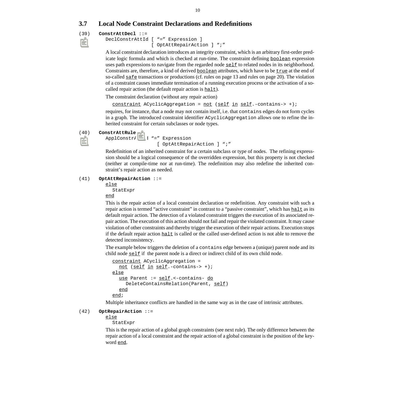# <span id="page-13-0"></span>**3.7 Local Node Constraint Declarations and Redefinitions**

### (39) **ConstrAttDecl** ::=

DeclConstrAttId [ "=" [Expression \]](#page-39-0)  [\[ O](#page-39-0)ptAttRepairAction ] ";"

A local constraint declaration introduces an integrity constraint, which is an arbitrary first-order predicate logic formula and which is checked at run-time. The constraint defining **boolean** expression uses path expressions to navigate from the regarded node  $\frac{\text{self}}{\text{self}}$  to related nodes in its neighborhood. Constraints are, therefore, a kind of derived  $\underline{boolean}$  attributes, which have to be  $\underline{true}$  at the end of so-called  $\frac{\text{safe}}{\text{transactions}}$  or productions (cf. [rules on page 13](#page-16-0) and [rules on page 20](#page-23-0)). The violation of a constraint causes immediate termination of a running execution process or the activation of a socalled repair action (the default repair action is  $halt$ ).</u>

The constraint declaration (without any repair action)

constraint ACyclicAggregation = not (self in self.-contains-> +);

requires, for instance, that a node may not contain itself, i.e. that contains edges do not form cycles in a graph. The introduced constraint identifier ACyclicAggregation allows one to refine the inherited constraint for certain subclasses or node types.

#### (40) **ConstrAttRule** ::=

```
ApplConstrAttId "=" Expression
                  [ OptAttRepairAction ] ";"
```
Redefinition of an inherited constraint for a certain subclass or type of nodes. The refining expresssion should be a logical consequence of the overridden expression, but this property is not checked (neither at compile-time nor at run-time). The redefinition may also redefine the inherited constraint's repair action as needed.

#### (41) **OptAttRepairAction** ::=

else

[StatExpr](#page-16-0) end

This is the repair action of a local constraint declaration or redefinition. Any constraint with such a repair action is termed "active constraint" in contrast to a "passive constraint", which has haller as its default repair action. The detection of a violated constraint triggers the execution of its associated repair action. The execution of this action should not fail and repair the violated constraint. It may cause violation of other constraints and thereby trigger the execution of their repair actions. Execution stops if the default repair action  $\underline{halt}$  is called or the called user-defined action is not able to remove the detected inconsistency.

The example below triggers the deletion of a contains edge between a (unique) parent node and its child node self if the parent node is a direct or indirect child of its own child node.

```
constraint ACyclicAggregation =
  not (self in self.-contains-> +);
else
  use Parent := self.<-contains- do
    DeleteContainsRelation(Parent, self)
  end
end;
```
Multiple inheritance conflicts are handled in the same way as in the case of intrinsic attributes.

# (42) **OptRepairAction** ::=

else

[StatExpr](#page-16-0)

This is the repair action of a global graph constraints (see next rule). The only difference between the repair action of a local constraint and the repair action of a global constraint is the position of the keyword end.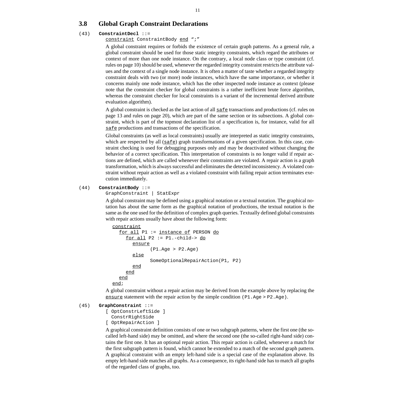# <span id="page-14-0"></span>**3.8 Global Graph Constraint Declarations**

#### (43) **ConstraintDecl** ::=

constraint ConstraintBody end ";"

A global constraint requires or forbids the existence of certain graph patterns. As a general rule, a global constraint should be used for those static integrity constraints, which regard the attributes or context of more than one node instance. On the contrary, a local node class or type constraint (cf. [rules on page 10\)](#page-13-0) should be used, whenever the regarded integrity constraint restricts the attribute values and the context of a single node instance. It is often a matter of taste whether a regarded integrity constraint deals with two (or more) node instances, which have the same importance, or whether it concerns mainly one node instance, which has the other inspected node instance as context (please note that the constraint checker for global constraints is a rather inefficient brute force algorithm, whereas the constraint checker for local constraints is a variant of the incremental derived attribute evaluation algorithm).

A global constraint is checked as the last action of all  $\frac{saf}{sf}$  transactions and productions (cf. [rules on](#page-16-0) [page 13](#page-16-0) and [rules on page 20\)](#page-23-0), which are part of the same section or its subsections. A global constraint, which is part of the topmost declaration list of a specification is, for instance, valid for all safe productions and transactions of the specification.

Global constraints (as well as local constraints) usually are interpreted as static integrity constraints, which are respected by all  $(safe)$  graph transformations of a given specification. In this case, constraint checking is used for debugging purposes only and may be deactivated without changing the behavior of a correct specification. This interpretation of constraints is no longer valid if repair actions are defined, which are called whenever their constraints are violated. A repair action is a graph transformation, which is always successful and eliminates the detected inconsistency. A violated constraint without repair action as well as a violated constraint with failing repair action terminates execution immediately.

#### (44) **ConstraintBody** ::=

GraphConstraint | [StatExpr](#page-16-0)

A global constraint may be defined using a graphical notation or a textual notation. The graphical notation has about the same form as the graphical notation of productions, the textual notation is the same as the one used for the definition of complex graph queries. Textually defined global constraints with repair actions usually have about the following form:

```
constraint
  for all P1 := instance of PERSON do
    for all P2 := P1.-child-> do
       ensure
              (P1.Age > P2.Age)
       else
             SomeOptionalRepairAction(P1, P2)
       end
    end
  end
end;
```
A global constraint without a repair action may be derived from the example above by replacing the ensure statement with the repair action by the simple condition  $(PI.Age > P2.Age)$ .

#### (45) **GraphConstraint** [::=](#page-15-0)

[\[ OptConstrLeftSide \]](#page-15-0)  [ConstrRightSide](#page-15-0) [\[](#page-15-0) [OptRepairAction \]](#page-13-0)

A graphical constraint definition consists of one or two subgraph patterns, where the first one (the socalled left-hand side) may be omitted, and where the second one (the so-called right-hand side) contains the first one. It has an optional repair action. This repair action is called, whenever a match for the first subgraph pattern is found, which cannot be extended to a match of the second graph pattern. A graphical constraint with an empty left-hand side is a special case of the explanation above. Its empty left-hand side matches all graphs. As a consequence, its right-hand side has to match all graphs of the regarded class of graphs, too.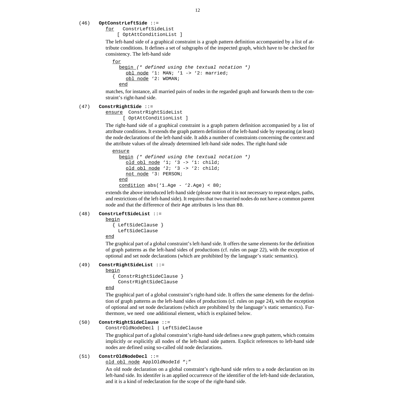#### <span id="page-15-0"></span>(46) **OptConstrLeftSide** ::=

for ConstrLeftSideList [ [OptAttConditionList \]](#page-28-0)

The left-hand side of a graphical constraint is a graph pattern definition accompanied by a list of attribute conditions. It defines a set of subgraphs of the inspected graph, which have to be checked for consistency. The left-hand side

```
for
  begin (* defined using the textual notation *)
    obl node '1: MAN; '1 -> '2: married;
    obl node '2: WOMAN;
  end
```
matches, for instance, all married pairs of nodes in the regarded graph and forwards them to the constraint's right-hand side.

#### (47) **ConstrRightSide** ::=

```
ensure ConstrRightSideList
       [ OptAttConditionList ]
```
The right-hand side of a graphical constraint is a graph pattern definition accompanied by a list of attribute conditions. It extends the graph pattern definition of the left-hand side by repeating (at least) the node declarations of the left-hand side. It adds a number of constraints concerning the context and the attribute values of the already determined left-hand side nodes. The right-hand side

```
ensure
  begin (* defined using the textual notation *)
    old obl node '1; '3 -> '1: child;
    old obl node '2; '3 -> '2: child;
    not node '3: PERSON;
  end
  condition abs('1.Age - '2.Age) < 80;
```
extends the above introduced left-hand side (please note that it is not necessary to repeat edges, paths, and restrictions of the left-hand side). It requires that two married nodes do not have a common parent node and that the difference of their Age attributes is less than 80.

#### (48) **ConstrLeftSideList** ::=

begin

```
{ LeftSideClause }
   LeftSideClause
```
end

The graphical part of a global constraint's left-hand side. It offers the same elements for the definition of graph patterns as the left-hand sides of productions (cf. [rules on page 22\)](#page-25-0), with the exception of optional and set node declarations (which are prohibited by the language's static semantics).

#### (49) **ConstrRightSideList** ::=

**begin** 

```
{ ConstrRightSideClause }
  ConstrRightSideClause
```
end

The graphical part of a global constraint's right-hand side. It offers the same elements for the definition of graph patterns as the left-hand sides of productions (cf. [rules on page 24\)](#page-27-0), with the exception of optional and set node declarations (which are prohibited by the language's static semantics). Furthermore, we need one additional element, which is explained below.

### (50) **ConstrRightSideClause** ::=

ConstrOldNodeDecl | [LeftSideClause](#page-25-0)

The graphical part of a global constraint's right-hand side defines a new graph pattern, which contains implicitly or explicitly all nodes of the left-hand side pattern. Explicit references to left-hand side nodes are defined using so-called old node declarations.

### (51) **ConstrOldNodeDecl** ::=

old obl node [ApplOldNodeId ";"](#page-27-0)

An old node declaration on a global constraint's right-hand side refers to a node declaration on its left-hand side. Its identifer is an applied occurrence of the identifier of the left-hand side declaration, and it is a kind of redeclaration for the scope of the right-hand side.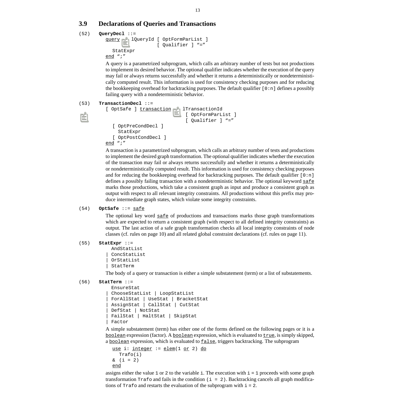# <span id="page-16-0"></span>**3.9 Declarations of Queries and Transactions**

```
(52) QueryDecl ::=
```

```
query DeclQueryId [ OptFormParList ]
                    [ Qualifier ] "="
  StatExpr
end ";"
```
A query is a parametrized subprogram, which calls an arbitrary number of tests but not productions to implement its desired behavior. The optional qualifier indicates whether the execution of the query may fail or always returns successfully and whether it returns a deterministically or nondeterministically computed result. This information is used for consistency checking purposes and for reducing the bookkeeping overhead for backtracking purposes. The default qualifier  $[0:n]$  defines a possibly failing query with a nondeterministic behavior.

# (53) **TransactionDecl** ::=

```
[ OptSafe ] transaction DeclTransactionId
                               [ OptFormParList ]
                               [ Qualifier ] "="
  [ OptPreCondDecl ]
     StatExpr
  [ OptPostCondDecl ]
end ";"
```
A transaction is a parametrized subprogram, which calls an arbitrary number of tests and productions to implement the desired graph transformation. The optional qualifier indicates whether the execution of the transaction may fail or always returns successfully and whether it returns a deterministically or nondeterministically computed result. This information is used for consistency checking purposes and for reducing the bookkeeping overhead for backtracking purposes. The default qualifier  $[0:n]$ defines a possibly failing transaction with a nondeterministic behavior. The optional keyword  $\underline{\text{safe}}$ marks those productions, which take a consistent graph as input and produce a consistent graph as output with respect to all relevant integrity constraints. All productions without this prefix may produce intermediate graph states, which violate some integrity constraints.

# (54) **OptSafe** ::= safe

The optional key word  $\frac{\text{safe}}{\text{of}}$  of productions and transactions marks those graph transformations which are expected to return a consistent graph (with respect to all defined integrity constraints) as output. The last action of a safe graph transformation checks all local integrity constraints of node classes (cf. [rules on page 10\)](#page-13-0) and all related global constraint declarations (cf. ru[les on page 11\).](#page-14-0)

### (55) **StatExpr** [::=](#page-18-0)

```
 AndStatList
ConcStatList
| OrStatList
| StatTerm
```
The body of a query or transaction is either a simple substatement (term) or a list of substatements.

```
(56) StatTerm ::=
```

```
 EnsureStat
| ChooseStatList | LoopStatList
| ForAllStat | UseStat | BracketStat
| AssignStat | CallStat | CutStat
| DefStat | NotStat
| FailStat | HaltStat | SkipStat
Factor
```
A simple substatement (term) has either one of the forms defined on the following pages or it is a boolean expression (factor). A boolean expression, which is evaluated to  $true$ , is simply skipped, a boolean expression, which is evaluated to false, triggers backtracking. The subprogram

```
use i: integer := elem(1 or 2) do
  Trafo(i)
\& (i = 2)end
```
assigns either the value 1 or 2 to the variable i. The execution with  $i = 1$  proceeds with some graph transformation  $\text{Traf}\circ \text{and fails}$  in the condition (i = 2). Backtracking cancels all graph modifications of  $Trafo$  and restarts the evaluation of the subprogram with  $i=2$ .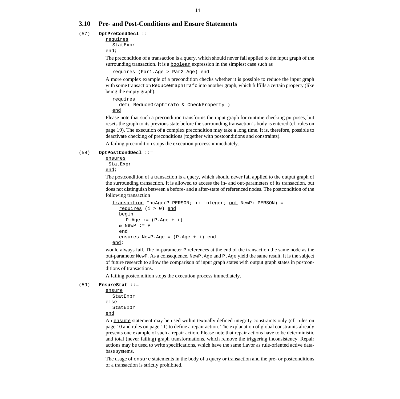# <span id="page-17-0"></span>**3.10 Pre- and Post-Conditions and Ensure Statements**

### (57) **OptPreCondDecl** ::=

requires [StatExpr](#page-16-0)

end;

The precondition of a transaction is a query, which should never fail applied to the input graph of the surrounding transaction. It is a **boolean** expression in the simplest case such as

requires (Par1.Age > Par2.Age) end.

A more complex example of a precondition checks whether it is possible to reduce the input graph with some transaction ReduceGraphTrafo into another graph, which fulfills a certain property (like being the empty graph):

```
requires
  def( ReduceGraphTrafo & CheckProperty )
end
```
Please note that such a precondition transforms the input graph for runtime checking purposes, but resets the graph to its previous state before the surrounding transaction's body is entered (cf. [rules on](#page-22-0) [page 19\)](#page-22-0). The execution of a complex precondition may take a long time. It is, therefore, possible to deactivate checking of preconditions (together with postconditions and constraints).

A failing precondition stops the execution process immediately.

#### (58) **OptPostCondDecl** ::=

ensures  [StatExpr](#page-16-0) end;

The postcondition of a transaction is a query, which should never fail applied to the output graph of the surrounding transaction. It is allowed to access the in- and out-parameters of its transaction, but does not distinguish between a before- and a after-state of referenced nodes. The postcondition of the following transaction

```
transaction IncAge(P PERSON; i: integer; out NewP: PERSON) =
  requires (i > 0) end
  begin
    P.Age := (P.Age + i)& NewP := P
  end
  ensures NewP.Age = (P.Age + i) end
end;
```
would always fail. The in-parameter P references at the end of the transaction the same node as the out-parameter NewP. As a consequence, NewP.Age and P.Age yield the same result. It is the subject of future research to allow the comparison of input graph states with output graph states in postconditions of transactions.

A failing postcondition stops the execution process immediately.

```
(59) EnsureStat ::=
```

```
ensure
  StatExpr
else
  StatExpr
end
```
An ensure statement may be used within textually defined integrity constraints only (cf. [rules on](#page-13-0) [page 10](#page-13-0) and [rules on page 11\)](#page-14-0) to define a repair action. The explanation of global constraints already presents one example of such a repair action. Please note that repair actions have to be deterministic and total (never failing) graph transformations, which remove the triggering inconsistency. Repair actions may be used to write specifications, which have the same flavor as rule-oriented active database systems.

The usage of ensure statements in the body of a query or transaction and the pre- or postconditions of a transaction is strictly prohibited.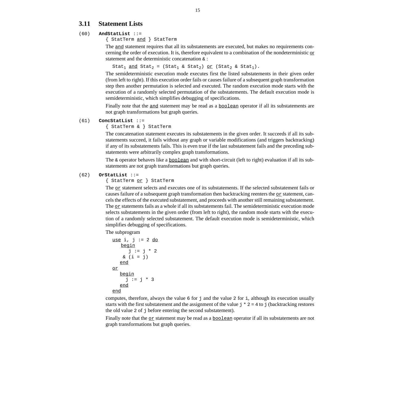# <span id="page-18-0"></span>**3.11 Statement Lists**

# (60) **AndStatList** [::=](#page-16-0)

[{ StatTerm](#page-16-0) and [} StatTerm](#page-16-0)

The and statement requires that all its substatements are executed, but makes no requirements concerning the order of execution. It is, therefore equivalent to a combination of the nondeterministic or statement and the deterministic concatenation & :

Stat<sub>1</sub> and Stat<sub>2</sub> = (Stat<sub>1</sub> & Stat<sub>2</sub>) or (Stat<sub>2</sub> & Stat<sub>1</sub>).

The semideterministic execution mode executes first the listed substatements in their given order (from left to right). If this execution order fails or causes failure of a subsequent graph transformation step then another permutation is selected and executed. The random execution mode starts with the execution of a randomly selected permutation of the substatements. The default execution mode is semideterministic, which simplifies debugging of specifications.

Finally note that the and statement may be read as a **boolean** operator if all its substatements are not graph transformations but graph queries.

### (61) **ConcStatList** [::=](#page-16-0)

[{ StatTerm & } StatTerm](#page-16-0)

The concatenation statement executes its substatements in the given order. It succeeds if all its substatements succeed, it fails without any graph or variable modifications (and triggers backtracking) if any of its substatements fails. This is even true if the last substatement fails and the preceding substatements were arbitrarily complex graph transformations.

The  $\&$  operator behaves like a <u>boolean</u> and with short-circuit (left to right) evaluation if all its substatements are not graph transformations but graph queries.

# (62) **OrStatList** [::=](#page-16-0)

[{ StatTerm](#page-16-0) or [} StatTerm](#page-16-0)

The <sub>OT</sub> statement selects and executes one of its substatements. If the selected substatement fails or causes failure of a subsequent graph transformation then backtracking reenters the  $\alpha r$  statement, cancels the effects of the executed substatement, and proceeds with another still remaining substatement. The  $\sigma$  statements fails as a whole if all its substatements fail. The semideterministic execution mode selects substatements in the given order (from left to right), the random mode starts with the execution of a randomly selected substatement. The default execution mode is semideterministic, which simplifies debugging of specifications.

The subprogram

```
use i, j := 2 <u>do</u>
   begin
      j := j * 2\& (i = j)end
or
   begin
     j := j * 3end
end
```
computes, therefore, always the value 6 for j and the value 2 for i, although its execution usually starts with the first substatement and the assignment of the value  $\dot{\tau}$   $*$  2 = 4 to  $\dot{\tau}$  (backtracking restores the old value 2 of j before entering the second substatement).

Finally note that the  $o$  statement may be read as a  $\underline{boolean}$  operator if all its substatements are not graph transformations but graph queries.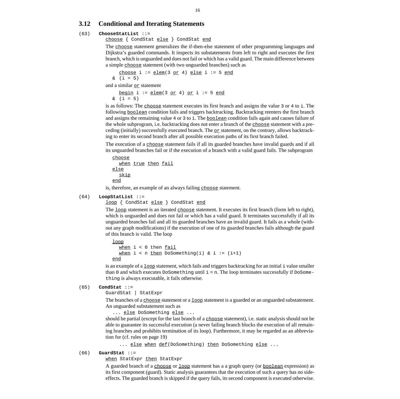# <span id="page-19-0"></span>**3.12 Conditional and Iterating Statements**

# (63) **ChooseStatList** ::=

choose { CondStat else } CondStat end

The choose statement generalizes the if-then-else statement of other programming languages and Dijkstra's guarded commands. It inspects its substatements from left to right and executes the first branch, which is unguarded and does not fail or which has a valid guard. The main difference between a simple choose statement (with two unguarded branches) such as

choose i := elem(3 or 4) else i := 5 end  $\&$  (i = 5)

and a similar  $o$  statement

begin i :=  $\text{elem}(3 \text{ or } 4)$  or i := 5 end  $\&$  (i = 5)

is as follows: The choose statement executes its first branch and assigns the value 3 or 4 to i. The following boolean condition fails and triggers backtracking. Backtracking reenters the first branch and assigns the remaining value 4 or 3 to i. The **boolean** condition fails again and causes failure of the whole subprogram, i.e. backtracking does not enter a branch of the choose statement with a preceding (initially) successfully executed branch. The  $or$  statement, on the contrary, allows backtrack-</u> ing to enter its second branch after all possible execution paths of its first branch failed.

The execution of a choose statement fails if all its guarded branches have invalid guards and if all its unguarded branches fail or if the execution of a branch with a valid guard fails. The subprogram

```
choose
  when true then fail
else
  skip
end
```
is, therefore, an example of an always failing choose statement.

### (64) **LoopStatList** ::=

loop { CondStat else } CondStat end

The loop statement is an iterated choose statement. It executes its first branch (form left to right), which is unguarded and does not fail or which has a valid guard. It terminates successfully if all its unguarded branches fail and all its guarded branches have an invalid guard. It fails as a whole (without any graph modifications) if the execution of one of its guarded branches fails although the guard of this branch is valid. The loop

```
loop
  when i < 0 then fail
  when i < n then DoSomething(i) & i := (i+1)end
```
is an example of a  $\log$  statement, which fails and triggers backtracking for an initial i value smaller than 0 and which executes DoSomething until  $i = n$ . The loop terminates successfully if DoSomething is always executable, it fails otherwise.

### (65) **CondStat** ::=

GuardStat | [StatExpr](#page-16-0)

The branches of a choose statement or a loop statement is a guarded or an unguarded substatement. An unguarded substatement such as

... else DoSomething else ...

should be partial (except for the last branch of a choose statement), i.e. static analysis should not be able to guarantee its successful execution (a never failing branch blocks the execution of all remaining branches and prohibits termination of its loop). Furthermore, it may be regarded as an abbreviation for (cf. r[ules on page 19\)](#page-22-0)

... else when def(DoSomething) then DoSomething else ...

### (66) **GuardStat** ::=

when [StatExpr](#page-16-0) then StatExpr

A guarded branch of a choose or loop statement has a a graph query (or boolean expression) as its first component (guard). Static analysis guarantees that the execution of such a query has no sideeffects. The guarded branch is skipped if the query fails, its second component is executed otherwise.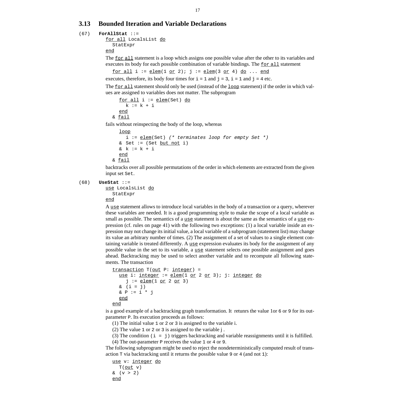# <span id="page-20-0"></span>**3.13 Bounded Iteration and Variable Declarations**

#### (67) **ForAllStat** ::=

```
for all LocalsList do
  StatExpr
end
```
The <u>for all</u> statement is a loop which assigns one possible value after the other to its variables and executes its body for each possible combination of variable bindings. The  $\epsilon$  or all statement

for all  $i := \text{elem}(1 \text{ or } 2)$ ;  $j := \text{elem}(3 \text{ or } 4)$  do ... end

executes, therefore, its body four times for  $i = 1$  and  $j = 3$ ,  $i = 1$  and  $j = 4$  etc.

The  $for all statement should only be used (instead of the loop statement) if the order in which val-$ </u> ues are assigned to variables does not matter. The subprogram

```
for all i := elem(Set) do
    k := k + i
  end
& fail
```
fails without reinspecting the body of the loop, whereas

```
loop
     i := \underline{elem}(Set) (* terminates loop for empty Set *)
  & Set := (Set but not i)
  & k := k + iend
& fail
```
backtracks over all possible permutations of the order in which elements are extracted from the given input set Set.

(68) **UseStat** ::=

```
use LocalsList do
  StatExpr
```
end

A use statement allows to introduce local variables in the body of a transaction or a query, wherever these variables are needed. It is a good programming style to make the scope of a local variable as small as possible. The semantics of a use statement is about the same as the semantics of a use expression (cf. [rules on page 41\)](#page-44-0) with the following two exceptions: (1) a local variable inside an expression may not change its initial value, a local variable of a subprogram (statement list) may change its value an arbitrary number of times. (2) The assignment of a set of values to a single element containing variable is treated differently. A  $_{\text{use}}$  expression evaluates its body for the assignment of any possible value in the set to its variable, a  $use$  statement selects one possible assignment and goes ahead. Backtracking may be used to select another variable and to recompute all following statements. The transaction

```
transaction T(out P: integer) =
  use i: integer := elem(1 or 2 or 3); j: integer do
     j := \underline{elem}(1 \underline{or} 2 \underline{or} 3)\& (i = j)& P := i * jend
end
```
is a good example of a backtracking graph transformation. It retunrs the value 1or 6 or 9 for its outparameter P. Its execution proceeds as follows:

- (1) The initial value 1 or 2 or 3 is assigned to the variable i.
- (2) The value 1 or 2 or 3 is assigned to the variable j .
- (3) The condition  $(i = j)$  triggers backtracking and variable reassignments until it is fulfilled.

(4) The out-parameter P receives the value 1 or 4 or 9.

The following subprogram might be used to reject the nondeterministically computed result of transaction T via backtracking until it returns the possible value 9 or 4 (and not 1):

```
use v: integer do
   T(\overline{\text{out}} v)& (v > 2)end
```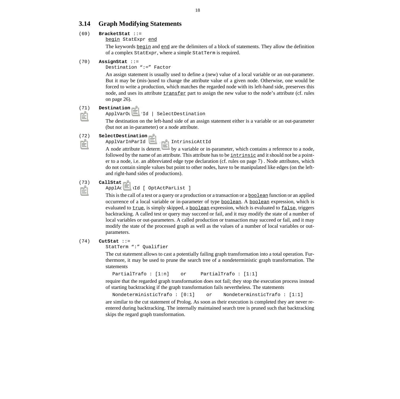# <span id="page-21-0"></span>**3.14 Graph Modifying Statements**

# (69) **BracketStat** ::=

### begin [StatExpr](#page-16-0) end

The keywords **begin** and end are the delimiters of a block of statements. They allow the definition of a complex StatExpr, where a simple StatTerm is required.

### (70) **AssignStat** ::=

Destination ":=" [Factor](#page-39-0)

An assign statement is usually used to define a (new) value of a local variable or an out-parameter. But it may be (mis-)used to change the attribute value of a given node. Otherwise, one would be forced to write a production, which matches the regarded node with its left-hand side, preserves this node, and uses its attribute transfer part to assign the new value to the node's attribute (cf. [rules](#page-29-0) [on page 26\).](#page-29-0)

### (71) **Destination** ::=

### ApplVarOutParId | SelectDestination

The destination on the left-hand side of an assign statement either is a variable or an out-parameter (but not an in-parameter) or a node attribute.

#### (72) **SelectDestination** ::=

#### ApplVarInParId "." ApplIntrinsicAttId

A node attribute is determined by a variable or in-parameter, which contains a reference to a node, followed by the name of an attribute. This attribute has to be  $intgrinsic$  and it should not be a pointer to a node, i.e. an abbreviated edge type declaration (cf. [rules on page 7\)](#page-10-0) . Node attributes, which do not contain simple values but point to other nodes, have to be manipulated like edges (on the leftand right-hand sides of productions).

#### (73) **CallStat** ::=

ApplActionId [ [OptActParList \]](#page-40-0)

This is the call of a test or a query or a production or a transaction or a **boolean** function or an applied occurrence of a local variable or in-parameter of type boolean. A boolean expression, which is evaluated to true, is simply skipped, a boolean expression, which is evaluated to false, triggers backtracking. A called test or query may succeed or fail, and it may modify the state of a number of local variables or out-parameters. A called production or transaction may succeed or fail, and it may modify the state of the processed graph as well as the values of a number of local variables or outparameters.

#### (74) **CutStat** [::=](#page-16-0)

#### [StatTerm ":"](#page-16-0) [Qualifier](#page-49-0)

The cut statement allows to cast a potentially failing graph transformation into a total operation. Furthermore, it may be used to prune the search tree of a nondeterministic graph transformation. The statements

```
PartialTrafo : [1:n] or PartialTrafo : [1:1]
```
require that the regarded graph transformation does not fail; they stop the execution process instead of starting backtracking if the graph transformation fails nevertheless. The statements

NondeterministicTrafo : [0:1] or NondeterminsticTrafo : [1:1]

are similar to the cut statement of Prolog. As soon as their execution is completed they are never reentered during backtracking. The internally maintained search tree is pruned such that backtracking skips the regard graph transformation.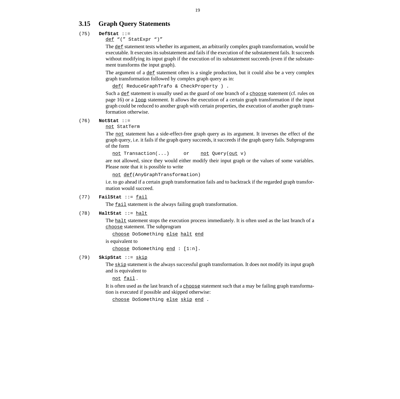# <span id="page-22-0"></span>**3.15 Graph Query Statements**

# (75) **DefStat** ::=

def ["\(" StatExpr "\)"](#page-16-0)

The def statement tests whether its argument, an arbitrarily complex graph transformation, would be executable. It executes its substatement and fails if the execution of the substatement fails. It succeeds without modifying its input graph if the execution of its substatement succeeds (even if the substatement transforms the input graph).

The argument of a  $det$  statement often is a single production, but it could also be a very complex graph transformation followed by complex graph query as in:

```
def( ReduceGraphTrafo & CheckProperty ) .
```
Such a  $det$  statement is usually used as the guard of one branch of a  $choose of a choose set.$ </u> [page 16\)](#page-19-0) or a  $\frac{1}{\log x}$  statement. It allows the execution of a certain graph transformation if the input graph could be reduced to another graph with certain properties, the execution of another graph transformation otherwise.

#### (76) **NotStat** ::=

#### not [StatTerm](#page-16-0)

The not statement has a side-effect-free graph query as its argument. It inverses the effect of the graph query, i.e. it fails if the graph query succeeds, it succeeds if the graph query fails. Subprograms of the form

```
not Transaction(...) or not Query(out v)
```
are not allowed, since they would either modify their input graph or the values of some variables. Please note that it is possible to write

not def(AnyGraphTransformation)

i.e. to go ahead if a certain graph transformation fails and to backtrack if the regarded graph transformation would succeed.

### (77) **FailStat** ::= fail

The <u>fail</u> statement is the always failing graph transformation.

### (78) **HaltStat** ::= halt

The halt statement stops the execution process immediately. It is often used as the last branch of a choose statement. The subprogram

choose DoSomething else halt end

is equivalent to

choose DoSomething end : [1:n].

# (79) **SkipStat** ::= skip

The skip statement is the always successful graph transformation. It does not modify its input graph and is equivalent to

not fail .

It is often used as the last branch of a choose statement such that a may be failing graph transformation is executed if possible and skipped otherwise:

choose DoSomething else skip end .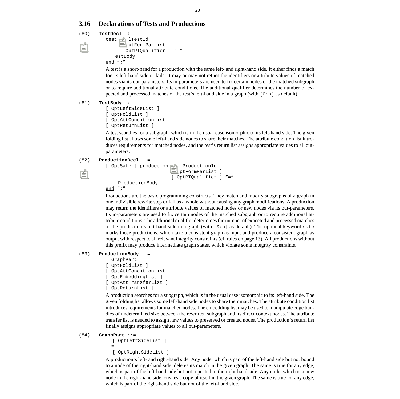# <span id="page-23-0"></span>**3.16 Declarations of Tests and Productions**

```
(80) TestDecl ::=
         test DeclTestId
                [ OptFormParList ]
                [ OptPTQualifier ] "="
            TestBody
         end ";"
```
A test is a short-hand for a production with the same left- and right-hand side. It either finds a match for its left-hand side or fails. It may or may not return the identifiers or attribute values of matched nodes via its out-parameters. Its in-parameters are used to fix certain nodes of the matched subgraph or to require additional attribute conditions. The additional qualifier determines the number of expected and processed matches of the test's left-hand side in a graph (with [0:n] as default).

### (81) **TestBody** [::=](#page-25-0)

```
[ OptLeftSideList ]
[ OptFoldList ]
[ OptAttConditionList ]
[ OptReturnList ]
```
A test searches for a subgraph, which is in the usual case isomorphic to its left-hand side. The given folding list allows some left-hand side nodes to share their matches. The attribute condition list introduces requirements for matched nodes, and the test's return list assigns appropriate values to all outparameters.

#### (82) **ProductionDecl** ::=

```
[ OptSafe ] production DeclProductionId
                         [ OptFormParList ]
                         [ OptPTQualifier ] "="
     ProductionBody
```
end ";"

Productions are the basic programming constructs. They match and modify subgraphs of a graph in one indivisible rewrite step or fail as a whole without causing any graph modifications. A production may return the identifiers or attribute values of matched nodes or new nodes via its out-parameters. Its in-parameters are used to fix certain nodes of the matched subgraph or to require additional attribute conditions. The additional qualifier determines the number of expected and processed matches of the production's left-hand side in a graph (with  $[0:n]$  as default). The optional keyword safe marks those productions, which take a consistent graph as input and produce a consistent graph as output with respect to all relevant integrity constraints (cf. [rules on page 13\)](#page-16-0). All productions without this prefix may produce intermediate graph states, which violate some integrity constraints.

### (83) **ProductionBody** ::=

```
 GraphPart
```

```
[ OptFoldList ]
```
- [\[ OptAttConditionList \]](#page-28-0)
- [\[](#page-28-0) [OptEmbeddingList \]](#page-30-0)
- [\[](#page-30-0) [OptAttTransferList \]](#page-29-0)
- [\[ OptReturnList \]](#page-29-0)

A production searches for a subgraph, which is in the usual case isomorphic to its left-hand side. The given folding list allows some left-hand side nodes to share their matches. The attribute condition list introduces requirements for matched nodes. The embedding list may be used to manipulate edge bundles of undetermined size between the rewritten subgraph and its direct context nodes. The attribute transfer list is needed to assign new values to preserved or created nodes. The production's return list finally assigns appropriate values to all out-parameters.

#### (84) **GraphPart** [::=](#page-25-0)

```
[ OptLeftSideList ]
::=
```

```
[ OptRightSideList ]
```
A production's left- and right-hand side. Any node, which is part of the left-hand side but not bound to a node of the right-hand side, deletes its match in the given graph. The same is true for any edge, which is part of the left-hand side but not repeated in the right-hand side. Any node, which is a new node in the right-hand side, creates a copy of itself in the given graph. The same is true for any edge, which is part of the right-hand side but not of the left-hand side.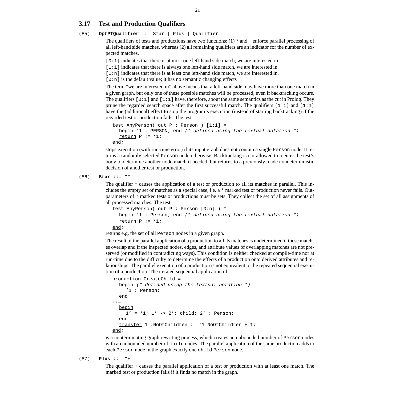# <span id="page-24-0"></span>**3.17 Test and Production Qualifiers**

# (85) **OptPTQualifier** ::= Star | Plus | [Qualifier](#page-49-0)

The qualifiers of tests and productions have two functions:  $(1)$  \* and + enforce parallel processing of all left-hand side matches, whereas (2) all remaining qualifiers are an indicator for the number of expected matches.

[0:1] indicates that there is at most one left-hand side match, we are interested in.

[1:1] indicates that there is always one left-hand side match, we are interested in.

[1:n] indicates that there is at least one left-hand side match, we are interested in.

 $[0:n]$  is the default value; it has no semantic changing effects

The term "we are interested in" above means that a left-hand side may have more than one match in a given graph, but only one of these possible matches will be processed, even if backtracking occurs. The qualifiers  $[0:1]$  and  $[1:1]$  have, therefore, about the same semantics as the cut in Prolog. They prune the regarded search space after the first successful match. The qualifiers  $[1:1]$  and  $[1:n]$ have the (additional) effect to stop the program's execution (instead of starting backtracking) if the regarded test or production fails. The test

```
test AnyPerson( out P : Person ) [1:1] =
  begin '1 : PERSON; end (* defined using the textual notation *)
  return P := '1;
```
end;

stops execution (with run-time error) if its input graph does not contain a single Person node. It returns a randomly selected Person node otherwise. Backtracking is not allowed to reenter the test's body to determine another node match if needed, but returns to a previously made nondeterministic decision of another test or production.

(86) **Star** ::= "\*"

The qualifier \* causes the application of a test or production to all its matches in parallel. This includes the empty set of matches as a special case, i.e. a \* marked test or production never fails. Outparameters of \* marked tests or productions must be sets. They collect the set of all assignments of all processed matches. The test

```
test AnyPerson( out P : Person [0:n] ) * =
  begin '1 : Person; end (* defined using the textual notation *)
  return P := '1;end;
```
returns e.g. the set of all Person nodes in a given graph.

The result of the parallel application of a production to all its matches is undetermined if these matches overlap and if the inspected nodes, edges, and attribute values of overlapping matches are not preserved (or modified in contradicting ways). This condition is neither checked at compile-time nor at run-time due to the difficulty to determine the effects of a production onto derived attributes and relationships. The parallel execution of a production is not equivalent to the repeated sequential execution of a production. The iterated sequential application of

```
production CreateChild =
  begin (* defined using the textual notation *)
     '1 : Person;
  end
::=
  begin
     1' = '1; 1' \rightarrow 2': child; 2' : Person;
  end
  transfer 1'.NoOfChildren := '1.NoOfChildren + 1;
end;
```
is a nonterminating graph rewriting process, which creates an unbounded number of Person nodes with an unbounded number of child nodes. The parallel application of the same production adds to each Person node in the graph exactly one child Person node.

```
(87) Plus ::= "+"
```
The qualifier + causes the parallel application of a test or production with at least one match. The marked test or production fails if it finds no match in the graph.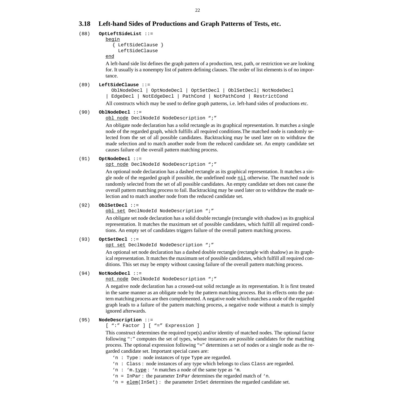# <span id="page-25-0"></span>**3.18 Left-hand Sides of Productions and Graph Patterns of Tests, etc.**

# (88) **OptLeftSideList** ::=

begin { LeftSideClause }

LeftSideClause

end

A left-hand side list defines the graph pattern of a production, test, path, or restriction we are looking for. It usually is a nonempty list of pattern defining clauses. The order of list elements is of no importance.

# (89) **LeftSideClause** ::=

 OblNodeDecl | OptNodeDecl | OptSetDecl | OblSetDecl| NotNodeDecl | [EdgeDecl | NotEdgeDecl | PathCond | NotPathCond | RestrictCond](#page-26-0)

All constructs which may be used to define graph patterns, i.e. left-hand sides of productions etc.

# (90) **OblNodeDecl** ::=

obl node [DeclNodeId N](#page-26-0)odeDescription ";"

An obligate node declaration has a solid rectangle as its graphical representation. It matches a single node of the regarded graph, which fulfills all required conditions.The matched node is randomly selected from the set of all possible candidates. Backtracking may be used later on to withdraw the made selection and to match another node from the reduced candidate set. An empty candidate set causes failure of the overall pattern matching process.

# (91) **OptNodeDecl** ::=

opt node [DeclNodeId N](#page-26-0)odeDescription ";"

An optional node declaration has a dashed rectangle as its graphical representation. It matches a single node of the regarded graph if possible, the undefined node nil otherwise. The matched node is randomly selected from the set of all possible candidates. An empty candidate set does not cause the overall pattern matching process to fail. Backtracking may be used later on to withdraw the made selection and to match another node from the reduced candidate set.

# (92) **OblSetDecl** ::=

obl set [DeclNodeId N](#page-26-0)odeDescription ";"

An obligate set node declaration has a solid double rectangle (rectangle with shadow) as its graphical representation. It matches the maximum set of possible candidates, which fulfill all required conditions. An empty set of candidates triggers failure of the overall pattern matching process.

# (93) **OptSetDecl** ::=

opt set [DeclNodeId N](#page-26-0)odeDescription ";"

An optional set node declaration has a dashed double rectangle (rectangle with shadow) as its graphical representation. It matches the maximum set of possible candidates, which fulfill all required conditions. This set may be empty without causing failure of the overall pattern matching process.

# (94) **NotNodeDecl** ::=

not node [DeclNodeId N](#page-26-0)odeDescription ";"

A negative node declaration has a crossed-out solid rectangle as its representation. It is first treated in the same manner as an obligate node by the pattern matching process. But its effects onto the pattern matching process are then complemented. A negative node which matches a node of the regarded graph leads to a failure of the pattern matching process, a negative node without a match is simply ignored afterwards.

# (95) **NodeDescription** [::=](#page-39-0)

[\[ ":" Factor \] \[ "=" Expression \]](#page-39-0)

This construct determines the required type(s) and/or identity of matched nodes. The optional factor following ":" computes the set of types, whose instances are possible candidates for the matching process. The optional expression following "=" determines a set of nodes or a single node as the regarded candidate set. Important special cases are:

- 'n : Type : node instances of type Type are regarded.
- 'n : Class : node instances of any type which belongs to class Class are regarded.
- 'n : 'm.type : 'n matches a node of the same type as 'm.
- 'n = InPar : the parameter InPar determines the regarded match of 'n.
- 'n =  $\text{element}$  (InSet) : the parameter InSet determines the regarded candidate set.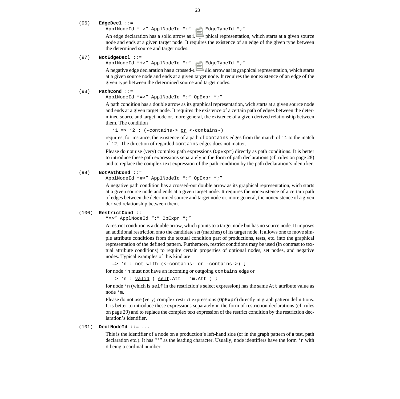```
(96) EdgeDecl ::=
```
[ApplNodeId "->" ApplNodeId ":" A](#page-48-0)pplEdgeTypeId ";"

An edge declaration has a solid arrow as its graphical representation, which starts at a given source node and ends at a given target node. It requires the existence of an edge of the given type between the determined source and target nodes.

#### (97) **NotEdgeDecl** [::=](#page-48-0)

[ApplNodeId "+>" ApplNodeId ":" A](#page-48-0)pplEdgeTypeId ";"

A negative edge declaration has a crossed-out solid arrow as its graphical representation, which starts at a given source node and ends at a given target node. It requires the nonexistence of an edge of the given type between the determined source and target nodes.

#### (98) **PathCond** [::=](#page-48-0)

[ApplNodeId "=>" ApplNodeId ":"](#page-48-0) [OpExpr ";"](#page-33-0)

A path condition has a double arrow as its graphical representation, wich starts at a given source node and ends at a given target node. It requires the existence of a certain path of edges between the determined source and target node or, more general, the existence of a given derived relationship between them. The condition

'1 => '2 :  $(-contains-> or <-contains-)$ +

requires, for instance, the existence of a path of contains edges from the match of '1 to the match of '2. The direction of regarded contains edges does not matter.

Please do not use (very) complex path expressions (OpExpr) directly as path conditions. It is better to introduce these path expressions separately in the form of path declarations (cf. [rules on page 28](#page-31-0)) and to replace the complex text expression of the path condition by the path declaration's identifier.

#### (99) **NotPathCond** [::=](#page-48-0)

[ApplNodeId "#>" ApplNodeId ":"](#page-48-0) [OpExpr ";"](#page-33-0)

A negative path condition has a crossed-out double arrow as its graphical representation, wich starts at a given source node and ends at a given target node. It requires the nonexistence of a certain path of edges between the determined source and target node or, more general, the nonexistence of a given derived relationship between them.

#### (100) **RestrictCond** [::=](#page-48-0)

["=>" ApplNodeId ":"](#page-48-0) [OpExpr ";"](#page-33-0)

A restrict condition is a double arrow, which points to a target node but has no source node. It imposes an additional restriction onto the candidate set (matches) of its target node. It allows one to move simple attribute conditions from the textual condition part of productions, tests, etc. into the graphical representation of the defined pattern. Furthemore, restrict conditions may be used (in contrast to textual attribute conditions) to require certain properties of optional nodes, set nodes, and negative nodes. Typical examples of this kind are

=> 'n : not with (<-contains- or -contains->) ;

for node 'n must not have an incoming or outgoing contains edge or

 $=$  'n :  $valid$  (  $self.Att = 'm.Att$  ) ;</u></u>

for node 'n (which is  $\text{self}$  in the restriction's select expression) has the same Att attribute value as node 'm.

Please do not use (very) complex restrict expressions ( $OpExpr$ ) directly in graph pattern definitions. It is better to introduce these expressions separately in the form of restriction declarations (cf. [rules](#page-32-0) [on page 29\)](#page-32-0) and to replace the complex text expression of the restrict condition by the restriction declaration's identifier.

# (101) **DeclNodeId** ::= ...

This is the identifier of a node on a production's left-hand side (or in the graph pattern of a test, path declaration etc.). It has "'" as the leading character. Usually, node identifiers have the form 'n with n being a cardinal number.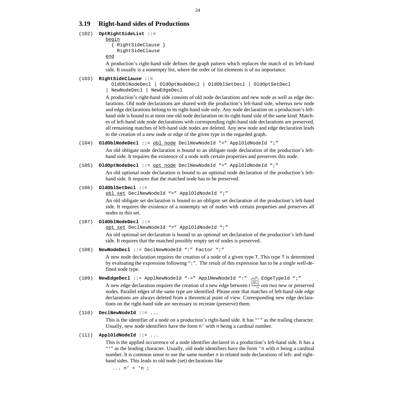# <span id="page-27-0"></span>**3.19 Right-hand sides of Productions**

```
(102) OptRightSideList ::=
```

```
begin
```
 { RightSideClause } RightSideClause

end

A production's right-hand side defines the graph pattern which replaces the match of its left-hand side. It usually is a nonempty list, where the order of list elements is of no importance.

# (103) **RightSideClause** ::=

```
 OldOblNodeDecl | OldOptNodeDecl | OldOblSetDecl | OldOptSetDecl
| NewNodeDecl | NewEdgeDecl
```
A production's right-hand side consists of old node declarations and new node as well as edge declarations. Old node declarations are shared with the production's left-hand side, whereas new node and edge declarations belong to its right-hand side only. Any node declaration on a production's lefthand side is bound to at most one old node declaration on its right-hand side of the same kind. Matches of left-hand side node declarations with corresponding right-hand side declarations are preserved, all remaining matches of left-hand side nodes are deleted. Any new node and edge declaration leads to the creation of a new node or edge of the given type in the regarded graph.

(104) **OldOblNodeDecl** ::= obl node DeclNewNodeId "=" ApplOldNodeId ";"

An old obligate node declaration is bound to an obligate node declaration of the production's lefthand side. It requires the existence of a node with certain properties and preserves this node.

(105) **OldOptNodeDecl** ::= opt node DeclNewNodeId "=" ApplOldNodeId ";"

An old optional node declaration is bound to an optional node declaration of the production's lefthand side. It requires that the matched node has to be preserved.

# (106) **OldOblSetDecl** ::=

obl set DeclNewNodeId "=" ApplOldNodeId ";"

An old obligate set declaration is bound to an obligate set declaration of the production's left-hand side. It requires the existence of a nonempty set of nodes with certain properties and preserves all nodes in this set.

# (107) **OldOblNodeDecl** ::=

opt set DeclNewNodeId "=" ApplOldNodeId ";"

An old optional set declaration is bound to an optional set declaration of the production's left-hand side. It requires that the matched possibly empty set of nodes is preserved.

# (108) **NewNodeDecl** ::= DeclNewNodeId ":" [Factor ";"](#page-39-0)

A new node declaration requires the creation of a node of a given type T. This type T is determined by evaluating the expression following ":". The result of this expression has to be a single well-defined node type.

(109) **NewEdgeDecl** [::= ApplNewNodeId "->" ApplNewNodeId ":"](#page-48-0) ApplEdgeTypeId ";"

A new edge declaration requires the creation of a new edge between the given two new or preserved nodes. Parallel edges of the same type are identified. Please note that matches of left-hand side edge declarations are always deleted from a theoretical point of view. Corresponding new edge declarations on the right-hand side are necessary to recreate (preserve) them.

# (110) **DeclNewNodeId** ::= ...

This is the identifier of a node on a production's right-hand side. It has "'" as the trailing character. Usually, new node identifiers have the form n' with n being a cardinal number.

# (111) **ApplOldNodeId** ::= ...

This is the applied occurrence of a node identifier declared in a production's left-hand side. It has a "" as the leading character. Usually, old node identifiers have the form 'n with n being a cardinal number. It is common sense to use the same number n in related node declarations of left- and righthand sides. This leads to old node (set) declarations like

...  $n' = 'n$  ;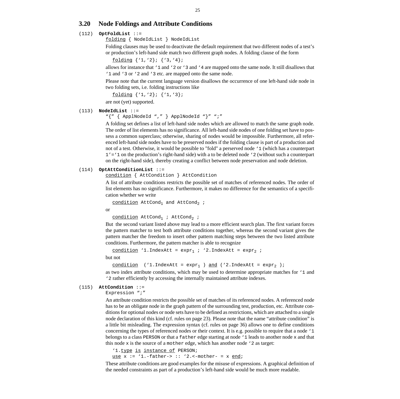# <span id="page-28-0"></span>**3.20 Node Foldings and Attribute Conditions**

# (112) **OptFoldList** ::=

folding { NodeIdList } NodeIdList

Folding clauses may be used to deactivate the default requirement that two different nodes of a test's or production's left-hand side match two different graph nodes. A folding clause of the form

```
folding {'1,'2}; {'3,'4};
```
allows for instance that '1 and '2 or '3 and '4 are mapped onto the same node. It still disallows that '1 and '3 or '2 and '3 etc. are mapped onto the same node.

Please note that the current language version disallows the occurrence of one left-hand side node in two folding sets, i.e. folding instructions like

```
folding {'1,'2}; {'1,'3};
```
are not (yet) supported.

### (113) **NodeIdList** [::=](#page-48-0)

["{" { ApplNodeId "," } ApplNodeId "}" ";"](#page-48-0)

A folding set defines a list of left-hand side nodes which are allowed to match the same graph node. The order of list elements has no significance. All left-hand side nodes of one folding set have to possess a common superclass; otherwise, sharing of nodes would be impossible. Furthermore, all referenced left-hand side nodes have to be preserved nodes if the folding clause is part of a production and not of a test. Otherwise, it would be possible to "fold" a perserved node '1 (which has a counterpart  $1' = 1$  on the production's right-hand side) with a to be deleted node  $\cdot$  2 (without such a counterpart on the right-hand side), thereby creating a conflict between node preservation and node deletion.

### (114) **OptAttConditionList** ::=

condition { AttCondition } AttCondition

A list of attribute conditions restricts the possible set of matches of referenced nodes. The order of list elements has no significance. Furthermore, it makes no difference for the semantics of a specification whether we write

```
condition AttCond_1 and AttCond_2 ;
```
or

```
condition AttCond_1 ; AttCond_2 ;
```
But the second variant listed above may lead to a more efficient search plan. The first variant forces the pattern matcher to test both attribute conditions together, whereas the second variant gives the pattern matcher the freedom to insert other pattern matching steps between the two listed attribute conditions. Furthermore, the pattern matcher is able to recognize

condition '1.IndexAtt =  $expr_1$  ; '2.IndexAtt =  $expr_2$  ;

but not

```
condition ('1.IndexAtt = expr_1) and ('2.IndexAtt = expr_2);
```
as two index attribute conditions, which may be used to determine appropriate matches for '1 and '2 rather efficiently by accessing the internally maintained attribute indexes.

### (115) **AttCondition** [::=](#page-39-0)

[Expression ";"](#page-39-0)

An attribute condition restricts the possible set of matches of its referenced nodes. A referenced node has to be an obligate node in the graph pattern of the surrounding test, production, etc. Attribute conditions for optional nodes or node sets have to be defined as restrictions, which are attached to a single node declaration of this kind (cf. [rules on page 23\)](#page-26-0). Please note that the name "attribute condition" is a little bit misleading. The expression syntax (cf. [rules on page 36](#page-39-0)) allows one to define conditions concerning the types of referenced nodes or their context. It is e.g. possible to require that a node '1 belongs to a class PERSON or that a father edge starting at node '1 leads to another node x and that this node  $x$  is the source of a mother edge, which has another node '2 as target:

'1.type is instance of PERSON;

use  $x := '1$ .-father->  $:: '2$ .<-mother- =  $x$  end;

These attribute conditions are good examples for the misuse of expressions. A graphical definition of the needed constraints as part of a production's left-hand side would be much more readable.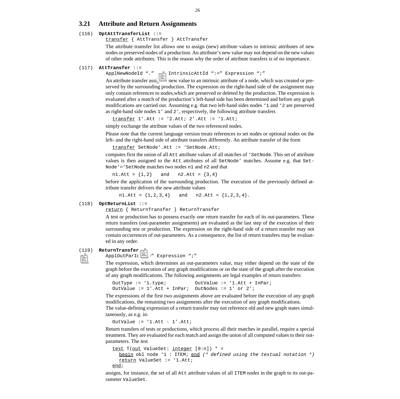# <span id="page-29-0"></span>**3.21 Attribute and Return Assignments**

### (116) **OptAttTransferList** ::=

transfer { AttTransfer } AttTransfer

The attribute tramsfer list allows one to assign (new) attribute values to intrinsic attributes of new nodes or preserved nodes of a production. An attribute's new value may not depend on the new values of other node attributes. This is the reason why the order of attribute transfers is of no importance.

### (117) **AttTransfer** [::=](#page-48-0)

[ApplNewNodeId "." A](#page-48-0)pplIntrinsicAttId ":=" [Expression ";"](#page-39-0)

An attribute transfer assigns a new value to an intrinsic attribute of a node, which was created or preserved by the surrounding production. The expression on the right-hand side of the assignment may only contain references to nodes,which are preserved or deleted by the production. The expression is evaluated after a match of the production's left-hand side has been determined and before any graph modifications are carried out. Assuming e.g. that two left-hand sides nodes '1 and '2 are preserved as right-hand side nodes 1' and 2', respectively, the following attribute transfers

 $transfer$  1'.Att := '2.Att; 2'.Att := '1.Att;

simply exchange the attribute values of the two referenced nodes.

Please note that the current language version treats references to set nodes or optional nodes on the left- and the right-hand side of attribute transfers differently. An attribute transfer of the form

```
transfer SetNode'.Att := 'SetNode.Att;
```
computes first the union of all Att attribute values of all matches of 'SetNode. This set of attribute values is then assigned to the Att attributes of all SetNode' matches. Assume e.g. that Set-Node'='SetNode matches two nodes n1 and n2 and that

 $n1.Att = {1,2}$  and  $n2.Att = {3,4}$ 

before the application of the surrounding production. The execution of the previously defined attribute transfer delivers the new attribute values

n1.Att =  $\{1, 2, 3, 4\}$  and n2.Att =  $\{1, 2, 3, 4\}$ .

#### (118) **OptReturnList** ::=

return { ReturnTransfer } ReturnTransfer

A test or production has to possess exactly one return transfer for each of its out-parameters. These return transfers (out-parameter assignments) are evaluated as the last step of the execution of their surrounding test or production. The expression on the right-hand side of a return transfer may not contain occurrences of out-parameters. As a consequence, the list of return transfers may be evaluated in any order.

#### (119) **ReturnTransfer** ::=

ApplOutParId ":=" [Expression ";"](#page-39-0)

The expression, which determines an out-parameters value, may either depend on the state of the graph before the execution of any graph modifications or on the state of the graph after the execution of any graph modifications. The following assignments are legal examples of return transfers:

```
OutType := '1.type; OutValue := '1.Att + InPar;
OutValue := 1'.Att + InPar; OutNodes := 1' or 2';
```
The expressions of the first two assignments above are evaluated before the execution of any graph modifications, the remaining two assignments after the execution of any graph modifications. The value-defining expression of a return transfer may not reference old and new graph states simul-

taneously, as e.g. in:

OutValue  $:= '1.Att - 1'.Att;$ 

Return transfers of tests or productions, which process all their matches in parallel, require a special treatment. They are evaluated for each match and assign the union of all computed values to their outparameters. The test

```
test T(out ValueSet: integer [0:n]) * =
  begin obl node '1 : ITEM; end (* defined using the textual notation *)
  return ValueSet := '1.Att;
end;
```
assigns, for instance, the set of all Att attribute values of all ITEM nodes in the graph to its out-parameter ValueSet.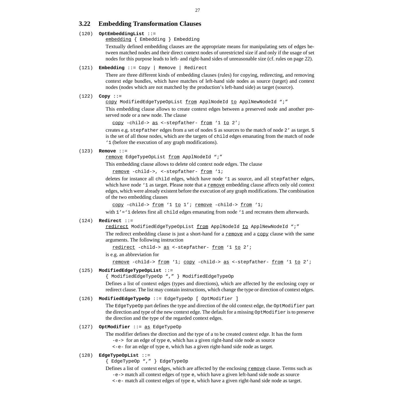# <span id="page-30-0"></span>**3.22 Embedding Transformation Clauses**

#### (120) **OptEmbeddingList** ::=

embedding { Embedding } Embedding

Textually defined embedding clauses are the appropriate means for manipulating sets of edges between matched nodes and their direct context nodes of unrestricted size if and only if the usage of set nodes for this purpose leads to left- and right-hand sides of unreasonable size (cf. [rules on page 22\)](#page-25-0).

#### (121) **Embedding** ::= Copy | Remove | Redirect

There are three different kinds of embedding clauses (rules) for copying, redirecting, and removing context edge bundles, which have matches of left-hand side nodes as source (target) and context nodes (nodes which are not matched by the production's left-hand side) as target (source).

### (122) **Copy** ::=

copy ModifiedEdgeTypeOpList from [ApplNodeId](#page-48-0) to [ApplNewNodeId ";"](#page-48-0)

This embedding clause allows to create context edges between a preserved node and another preserved node or a new node. The clause

copy -child-> as <-stepfather- from '1 to 2';

creates e.g. stepfather edges from a set of nodes S as sources to the match of node 2' as target. S is the set of all those nodes, which are the targets of child edges emanating from the match of node '1 (before the execution of any graph modifications).

#### (123) **Remove** ::=

remove EdgeTypeOpList from [ApplNodeId ";"](#page-48-0)

This embedding clause allows to delete old context node edges. The clause

remove -child->, <-stepfather- from '1;

deletes for instance all child edges, which have node '1 as source, and all stepfather edges, which have node '1 as target. Please note that a remove embedding clause affects only old context edges, which were already existent before the execution of any graph modifications. The combination of the two embedding clauses

copy -child-> from '1 to 1'; remove -child-> from '1;

with  $1' = '1$  deletes first all child edges emanating from node '1 and recreates them afterwards.

#### (124) **Redirect** ::=

redirect ModifiedEdgeTypeOpList from [ApplNodeId](#page-48-0) to [ApplNewNodeId ";"](#page-48-0)

The redirect embedding clause is just a short-hand for a  $\frac{\text{remove}}{\text{3}}$  and a  $\frac{\text{copy}}{\text{3}}$  clause with the same arguments. The following instruction

redirect -child-> as <-stepfather- from '1 to 2';

is e.g. an abbreviation for

remove -child-> from '1; copy -child-> as <-stepfather- from '1 to 2';

#### (125) **ModifiedEdgeTypeOpList** ::=

{ ModifiedEdgeTypeOp "," } ModifiedEdgeTypeOp

Defines a list of context edges (types and directions), which are affected by the enclosing copy or redirect clause. The list may contain instructions, which change the type or direction of context edges.

### (126) **ModifiedEdgeTypeOp** [::= EdgeTypeOp \[](#page-37-0) OptModifier ]

The EdgeTypeOp part defines the type and direction of the old context edge, the OptModifier part the direction and type of the new context edge. The default for a missing OptModifier is to preserve the direction and the type of the regarded context edges.

# (127) **OptModifier** ::= as [EdgeTypeOp](#page-37-0)

The modifier defines the direction and the type of a to be created context edge. It has the form  $-e\rightarrow$  for an edge of type  $e$ , which has a given right-hand side node as source

<-e- for an edge of type e, which has a given right-hand side node as target.

# (128) **EdgeTypeOpList** [::=](#page-37-0)

[{ EdgeTypeOp "," } EdgeTypeOp](#page-37-0)

Defines a list of context edges, which are affected by the enclosing  $remove$  clause. Terms such as</u> -e-> match all context edges of type e, which have a given left-hand side node as source <-e- match all context edges of type e, which have a given right-hand side node as target.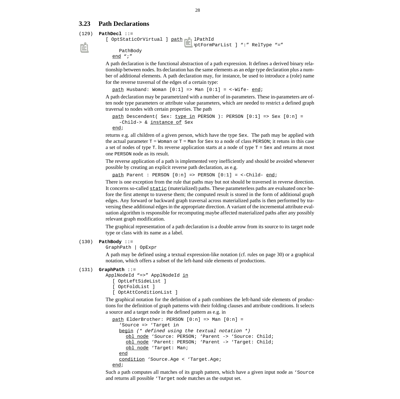# <span id="page-31-0"></span>**3.23 Path Declarations**

#### (129) **PathDecl** [::=](#page-32-0)

```
[ OptStaticOrVirtual ] path DeclPathId
                              [ OptFormParList ] ":" RelType "="
    PathBody
  end ";"
```
A path declaration is the functional abstraction of a path expression. It defines a derived binary relationship between nodes. Its declaration has the same elements as an edge type declaration plus a number of additional elements. A path declaration may, for instance, be used to introduce a (role) name for the reverse traversal of the edges of a certain type:

path Husband: Woman  $[0:1]$  => Man  $[0:1]$  = <-Wife- end;

A path declaration may be parametrized with a number of in-parameters. These in-parameters are often node type parameters or attribute value parameters, which are needed to restrict a defined graph traversal to nodes with certain properties. The path

```
path Descendent( Sex: type in PERSON ): PERSON [0:1] => Sex [0:n] =
  -Child-> & instance of Sex
```
end;

returns e.g. all children of a given person, which have the type Sex. The path may be applied with the actual parameter T = Woman or T = Man for Sex to a node of class PERSON; it retuns in this case a set of nodes of type  $T$ . Its reverse application starts at a node of type  $T =$  Sex and returns at most one PERSON node as its result.

The reverse application of a path is implemented very inefficiently and should be avoided whenever possible by creating an explicit reverse path declaration, as e.g.

path Parent : PERSON  $[0:n] \Rightarrow$  PERSON  $[0:1] = \langle$ -Child- end;

There is one exception from the rule that paths may but not should be traversed in reverse direction. It concerns so-called static (materialized) paths. These parameterless paths are evaluated once before the first attempt to traverse them; the computed result is stored in the form of additional graph edges. Any forward or backward graph traversal across materialized paths is then performed by traversing these additional edges in the appropriate direction. A variant of the incremental attribute evaluation algorithm is responsible for recomputing maybe affected materialized paths after any possibly relevant graph modification.

The graphical representation of a path declaration is a double arrow from its source to its target node type or class with its name as a label.

# (130) **PathBody** ::=

GraphPath | [OpExpr](#page-33-0)

A path may be defined using a textual expression-like notation (cf. [rules on page 30\)](#page-33-0) or a graphical notation, which offers a subset of the left-hand side elements of productions.

### (131) **GraphPath** [::=](#page-48-0)

```
ApplNodeId "=>" ApplNodeId in
  [ OptLeftSideList ]
  [ OptFoldList ]
  [ OptAttConditionList ]
```
The graphical notation for the definition of a path combines the left-hand side elements of productions for the definition of graph patterns with their folding clauses and attribute conditions. It selects a source and a target node in the defined pattern as e.g. in

```
path ElderBrother: PERSON [0:n] => Man [0:n] =
  'Source => 'Target in
  begin (* defined using the textual notation *)
    obl node 'Source: PERSON; 'Parent -> 'Source: Child;
    obl node 'Parent: PERSON; 'Parent -> 'Target: Child;
    obl node 'Target: Man;
  end
  condition 'Source.Age < 'Target.Age;
end;
```
Such a path computes all matches of its graph pattern, which have a given input node as 'Source and returns all possible 'Target node matches as the output set.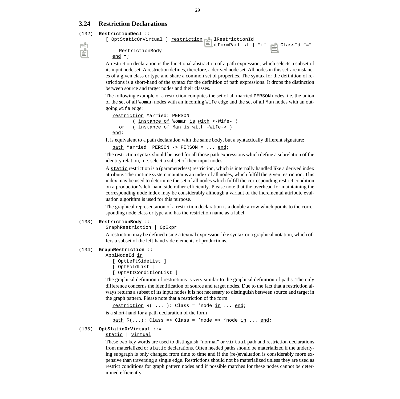# <span id="page-32-0"></span>**3.24 Restriction Declarations**

```
(132) RestrictionDecl ::=
```

```
[ OptStaticOrVirtual ] restriction DeclRestrictionId
                                    [ OptFormParList ] ":" ApplClassId "="
    RestrictionBody
  end ";
```
A restriction declaration is the functional abstraction of a path expression, which selects a subset of its input node set. A restriction defines, therefore, a derived node set. All nodes in this set are instances of a given class or type and share a common set of properties. The syntax for the definition of restrictions is a short-hand of the syntax for the definition of path expressions. It drops the distinction between source and target nodes and their classes.

The following example of a restriction computes the set of all married PERSON nodes, i.e. the union of the set of all Woman nodes with an incoming Wife edge and the set of all Man nodes with an outgoing Wife edge:

```
restriction Married: PERSON =
       ( instance of Woman is with <-Wife- )
  or ( instance of Man is with -Wife-> )
end;
```
It is equivalent to a path declaration with the same body, but a syntactically different signature:

```
path Married: PERSON -> PERSON = ... end;
```
The restriction syntax should be used for all those path expressions which define a subrelation of the identity relation,. i.e. select a subset of their input nodes.

A static restriction is a (parameterless) restriction, which is internally handled like a derived index attribute. The runtime system maintains an index of all nodes, which fulfill the given restriction. This index may be used to determine the set of all nodes which fulfill the corresponding restrict condition on a production's left-hand side rather efficiently. Please note that the overhead for maintaining the corresponding node index may be considerably although a variant of the incremental attribute evaluation algorithm is used for this purpose.

The graphical representation of a restriction declaration is a double arrow which points to the corresponding node class or type and has the restriction name as a label.

# (133) **RestrictionBody** ::=

GraphRestriction | [OpExpr](#page-33-0)

A restriction may be defined using a textual expression-like syntax or a graphical notation, which offers a subset of the left-hand side elements of productions.

# (134) **GraphRestriction** [::=](#page-48-0)

```
ApplNodeId in
  [ OptLeftSideList ]
  [ OptFoldList ]
```
[\[ OptAttConditionList \]](#page-28-0)

The graphical definition of restrictions is very similar to the graphical definition of paths. The only difference concerns the identification of source and target nodes. Due to the fact that a restriction always returns a subset of its input nodes it is not necessary to distinguish between source and target in the graph pattern. Please note that a restriction of the form

```
restriction R( ... ): Class = 'node in ... end;
is a short-hand for a path declaration of the form
```

```
path R(\ldots): Class => Class = 'node => 'node in \ldots end;
```
# (135) **OptStaticOrVirtual** ::=

static | virtual

These two key words are used to distinguish "normal" or  $virtual$  path and restriction declarations</u> from materialized or static declarations. Often needed paths should be materialized if the underlying subgraph is only changed from time to time and if the (re-)evaluation is considerably more expensive than traversing a single edge. Restrictions should not be materialized unless they are used as restrict conditions for graph pattern nodes and if possible matches for these nodes cannot be determined efficiently.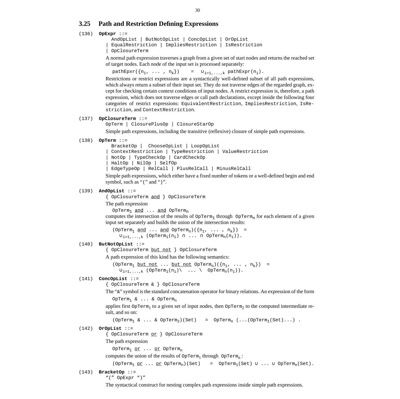# <span id="page-33-0"></span>**3.25 Path and Restriction Defining Expressions**

#### (136) **OpExpr** ::=

```
 AndOpList | ButNotOpList | ConcOpList | OrOpList
| EqualRestriction | ImpliesRestriction | IsRestriction
| OpClosureTerm
```
A normal path expression traverses a graph from a given set of start nodes and returns the reached set of target nodes. Each node of the input set is processed separately:

pathEpxr({ $n_1$ , ...,  $n_k$ }) =  $\cup_{i=1,...,k}$  pathExpr( $n_i$ ).

Restrictions or restrict expressions are a syntactically well-defined subset of all path expressions, which always return a subset of their input set. They do not traverse edges of the regarded graph, except for checking certain context conditions of input nodes. A restrict expression is, therefore, a path expression, which does not traverse edges or call path declarations, except inside the following four categories of restrict expressions: EquivalentRestriction, ImpliesRestriction, IsRestriction, and ContextRestriction.

#### (137) **OpClosureTerm** ::=

```
OpTerm | ClosurePlusOp | ClosureStarOp
```
Simple path expressions, including the transitive (reflexive) closure of simple path expressions.

#### (138) **OpTerm** ::=

```
 BracketOp | ChooseOpList | LoopOpList
 | ContextRestriction | TypeRestriction | ValueRestriction
 | NotOp | TypeCheckOp | CardCheckOp
| HaltOp | NilOp | SelfOp
| EdgeTypeOp | RelCall | PlusRelCall | MinusRelCall
```
Simple path expressions, which either have a fixed number of tokens or a well-defined begin and end symbol, such as "(" and ")".

#### (139) **AndOpList** ::=

{ OpClosureTerm and } OpClosureTerm

#### The path expression

OpTerm<sub>1</sub> and ... and OpTerm<sub>n</sub>

computes the intersection of the results of  $OpTerm_1$  through  $OpTerm_n$  for each element of a given input set separately and builds the union of the intersection results:

(OpTerm<sub>1</sub> and ... and OpTerm<sub>n</sub>)( ${n_1, \ldots, n_k}$ )  $\cup_{i=1,\ldots,k}$  (OpTerm<sub>1</sub>(n<sub>i</sub>) ∩ ... ∩ OpTerm<sub>n</sub>(n<sub>i</sub>)).

#### (140) **ButNotOpList** ::=

{ OpClosureTerm but not } OpClosureTerm

A path expression of this kind has the following semantics:

(OpTerm<sub>1</sub> but not ... but not OpTerm<sub>n</sub>)( $\{n_1, \ldots, n_k\}$ ) =  $\cup_{i=1,\ldots,k}$  (OpTerm<sub>1</sub>(n<sub>i</sub>) \ ... \ OpTerm<sub>n</sub>(n<sub>i</sub>)).

#### (141) **ConcOpList** ::=

{ OpClosureTerm & } OpClosureTerm

The "&" symbol is the standard concatenation operator for binary relations. An expression of the form

```
OpTerm<sub>1</sub> & ... & OpTerm<sub>n</sub>
```
applies first  $\text{opTerm}_1$  to a given set of input nodes, then  $\text{opTerm}_2$  to the computed intermediate result, and so on:

```
(\text{OpTerm}_1 \& \dots & \text{OpTerm}_2)(\text{Set}) = \text{OpTerm}_n (\dots (\text{OpTerm}_1(\text{Set}) \dots).
```
#### (142) **OrOpList** ::=

{ OpClosureTerm or } OpClosureTerm

The path expression

```
OpTerm<sub>1</sub> or ... or OpTerm<sub>n</sub>
```
computes the union of the results of  $\text{OpTerm}_1$  through  $\text{OpTerm}_n$ :

```
(\text{OpTerm}_1 \text{ or } \dots \text{ or } \text{OpTerm}_n)(\text{Set}) = \text{OpTerm}_1(\text{Set}) \cup \dots \cup \text{OpTerm}_n(\text{Set}).
```
# (143) **BracketOp** ::=

"(" OpExpr ")"

The syntactical construct for nesting complex path expressions inside simple path expressions.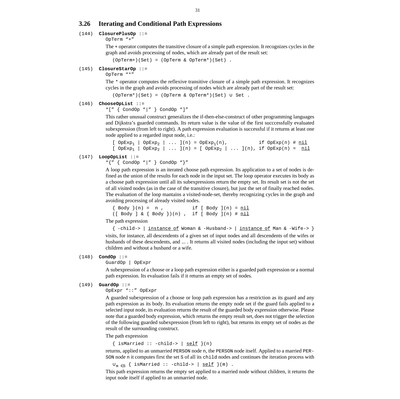# <span id="page-34-0"></span>**3.26 Iterating and Conditional Path Expressions**

#### (144) **ClosurePlusOp** [::=](#page-33-0)

[OpTerm "+"](#page-33-0)

The + operator computes the transitive closure of a simple path expression. It recognizes cycles in the graph and avoids processing of nodes, which are already part of the result set:

(OpTerm+)(Set) = (OpTerm & OpTerm\*)(Set) .

#### (145) **ClosureStarOp** [::=](#page-33-0)

[OpTerm "\\*"](#page-33-0)

The \* operator computes the reflexive transitive closure of a simple path expression. It recognizes cycles in the graph and avoids processing of nodes which are already part of the result set:

(OpTerm\*)(Set) = (OpTerm & OpTerm\*)(Set) ∪ Set .

#### (146) **ChooseOpList** ::=

```
"[" { CondOp "|" } CondOp "]"
```
This rather unusual construct generalizes the if-then-else-construct of other programming languages and Dijkstra's guarded commands. Its return value is the value of the first succcessfully evaluated subexpression (from left to right). A path expression evaluation is successful if it returns at least one node applied to a regarded input node, i.e.:

```
[ OPExp_1 | OPExp_2 | ... ](n) = OPExp_1(n), if OPExp(n) # n1[ OpExp<sub>1</sub> | OpExp<sub>2</sub> | ... ](n) = [ OpExp<sub>2</sub> | ... ](n), if OpExp(n) = <u>nil</u>
(147) LoopOpList ::=
```
# "{" { CondOp "|" } CondOp "}"

A loop path expression is an iterated choose path expression. Its application to a set of nodes is defined as the union of the results for each node in the input set. The loop operator executes its body as a choose path expression until all its subexpressions return the empty set. Its result set is not the set of all visited nodes (as in the case of the transitive closure), but just the set of finally reached nodes. The evaluation of the loop mantains a visited-node-set, thereby recognizing cycles in the graph and avoiding processing of already visited nodes.

```
\{ Body \}(n) = n, if [Body \](n) = nil([ Body ] & \{ Body \})(n), if [ Body ](n) # nil
```
The path expression

 $\{ -child \rightarrow \}$  instance of Woman & -Husband-> | instance of Man & -Wife-> } visits, for instance, all descendents of a given set of input nodes and all descendents of the wifes or husbands of these descendents, and ... . It returns all visited nodes (including the input set) without children and without a husband or a wife.

# (148) **CondOp** ::=

GuardOp | [OpExpr](#page-33-0)

A subexpression of a choose or a loop path expression either is a guarded path expression or a normal path expression. Its evaluation fails if it returns an empty set of nodes.

# (149) **GuardOp** [::=](#page-33-0)

[OpExpr "::" OpExpr](#page-33-0)

A guarded subexpression of a choose or loop path expression has a restriction as its guard and any path expression as its body. Its evaluation returns the empty node set if the guard fails applied to a selected input node, its evaluation returns the result of the guarded body expression otherwise. Please note that a guarded body expression, which returns the empty result set, does not trigger the selection of the following guarded subexpression (from left to right), but returns its empty set of nodes as the result of the surrounding construct.

The path expression

 $\{$  isMarried  $::$  -child->  $|$  self  $\}(n)$ 

returns, applied to an unmarried PERSON node n, the PERSON node itself. Applied to a married PER-SON node n it computes first the set S of all its child nodes and continues the iteration process with

 $∪<sub>m ∈ S</sub>$  { isMarried :: -child-> | <u>self</u> }(m) .

This path expression returns the empty set applied to a married node without children, it returns the input node itself if applied to an unmarried node.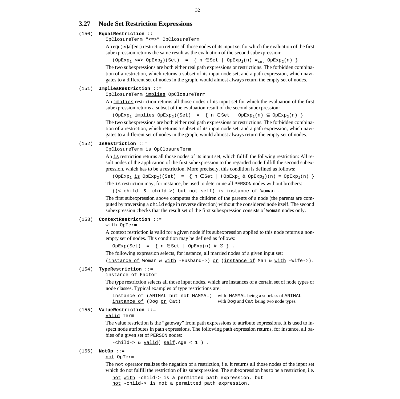# <span id="page-35-0"></span>**3.27 Node Set Restriction Expressions**

#### (150) **EqualRestriction** [::=](#page-33-0)

[OpClosureTerm "<=>" OpClosureTerm](#page-33-0)

An equ(iv)al(ent) restriction returns all those nodes of its input set for which the evaluation of the first subexpression returns the same result as the evaluation of the second subexpression:

 $(\text{OpExp}_1 \iff \text{OpExp}_2)(\text{Set}) = {\{ n \in \text{Set} \mid \text{OpExp}_1(n) =_{\text{set}} \text{OpExp}_2(n) \}}$ 

The two subexpressions are both either real path expressions or restrictions. The forbidden combination of a restriction, which returns a subset of its input node set, and a path expression, which navigates to a different set of nodes in the graph, would almost always return the empty set of nodes.

#### (151) **ImpliesRestriction** [::=](#page-33-0)

[OpClosureTerm](#page-33-0) implies [OpClosureTerm](#page-33-0)

An implies restriction returns all those nodes of its input set for which the evaluation of the first subexpression returns a subset of the evaluation result of the second subexpression:

 $(\text{OpExp}_1 \text{ implies } \text{OpExp}_2)(\text{Set}) = \{ n \in \text{Set} \mid \text{OpExp}_1(n) \subseteq \text{OpExp}_2(n) \}$ The two subexpressions are both either real path expressions or restrictions. The forbidden combina-

tion of a restriction, which returns a subset of its input node set, and a path expression, which navigates to a different set of nodes in the graph, would almost always return the empty set of nodes.

#### (152) **IsRestriction** [::=](#page-33-0)

[OpClosureTerm](#page-33-0) is [OpClosureTerm](#page-33-0)

An is restriction returns all those nodes of its input set, which fulfill the follwing restriction: All result nodes of the application of the first subexpression to the regarded node fulfill the second subexpression, which has to be a restriction. More precisely, this condition is defined as follows:

 $(\text{OPExp}_1 \text{ is } \text{OPExp}_2)(\text{Set}) = {\n \text{ s set } (\text{OPExp}_1 \& \text{OPExp}_2)(n) = \text{OPExp}_1(n) \n \}$ The is restriction may, for instance, be used to determine all PERSON nodes without brothers:

((<-child- & -child->) but not self) is instance of Woman .

The first subexpression above computes the children of the parents of a node (the parents are computed by traversing a child edge in reverse direction) without the considered node itself. The second subexpression checks that the result set of the first subexpression consists of Woman nodes only.

#### (153) **ContextRestriction** ::=

with [OpTerm](#page-33-0)

A context restriction is valid for a given node if its subexpression applied to this node returns a nonempty set of nodes. This condition may be defined as follows:

 $OpExp(Set) = \{ n \in Set \mid OpExp(n) \# \varnothing \}$ .

The following expression selects, for instance, all married nodes of a given input set:

(instance of Woman & with -Husband->) or (instance of Man & with -Wife->).

#### (154) **TypeRestriction** ::=

instance of [Factor](#page-39-0)

The type restriction selects all those input nodes, which are instances of a certain set of node types or node classes. Typical examples of type restrictions are:

instance of (ANIMAL but not MAMMAL) with MAMMAL being a subclass of ANIMAL instance of (Dog or Cat) with Dog and Cat being two node types.

### (155) **ValueRestriction** ::=

valid [Term](#page-39-0)

The value restriction is the "gateway" from path expressions to attribute expressions. It is used to inspect node attributes in path expressions. The following path expression returns, for instance, all babies of a given set of PERSON nodes:

```
-child-> & valid( self.Age < 1 ) .
```
#### (156) **NotOp** ::=

not [OpTerm](#page-33-0)

The <u>not</u> operator realizes the negation of a restriction, i.e. it returns all those nodes of the input set which do not fulfill the restriction of its subexpression. The subexpression has to be a restriction, i.e.

not with -child-> is a permitted path expression, but not -child-> is not a permitted path expression.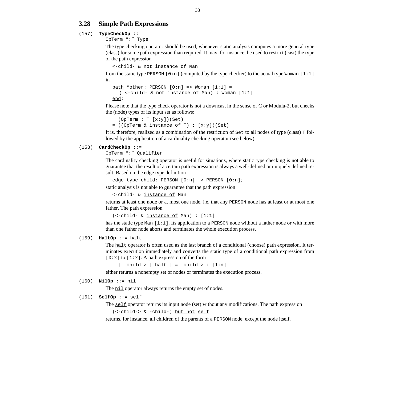# <span id="page-36-0"></span>**3.28 Simple Path Expressions**

### (157) **TypeCheckOp** [::=](#page-33-0)

[OpTerm ":"](#page-33-0) [Type](#page-46-0)

The type checking operator should be used, whenever static analysis computes a more general type (class) for some path expression than required. It may, for instance, be used to restrict (cast) the type of the path expression

```
<-child- & not instance of Man
```
from the static type PERSON  $[0:n]$  (computed by the type checker) to the actual type Woman  $[1:1]$ in

```
path Mother: PERSON [0:n] => Woman [1:1] =
  ( <-child- & not instance of Man) : Woman [1:1]
end;
```
Please note that the type check operator is not a downcast in the sense of C or Modula-2, but checks the (node) types of its input set as follows:

```
 (OpTerm : T [x:y])(Set)
= ((OpTerm & instance of T) : [x:y])(Set)
```
It is, therefore, realized as a combination of the restriction of Set to all nodes of type (class) T followed by the application of a cardinality checking operator (see below).

### (158) **CardCheckOp** [::=](#page-33-0)

[OpTerm ":"](#page-33-0) [Qualifier](#page-49-0)

The cardinality checking operator is useful for situations, where static type checking is not able to guarantee that the result of a certain path expression is always a well-defined or uniquely defined result. Based on the edge type definition

edge type child: PERSON [0:n] -> PERSON [0:n];

static analysis is not able to guarantee that the path expression

```
<-child- & instance of Man
```
returns at least one node or at most one node, i.e. that any PERSON node has at least or at most one father. The path expression

```
(<-child- & instance of Man) : [1:1]
```
has the static type Man [1:1]. Its application to a PERSON node without a father node or with more than one father node aborts and terminates the whole execution process.

### (159) **HaltOp** ::= halt

The halt operator is often used as the last branch of a conditional (choose) path expression. It terminates execution immediately and converts the static type of a conditional path expression from  $[0:x]$  to  $[1:x]$ . A path expression of the form

 $[-\text{child-> } | \underline{\text{halt}} ] = -\text{child-> : } [1:n]$ 

either returns a nonempty set of nodes or terminates the execution process.

#### (160) **NilOp** ::= nil

The nil operator always returns the empty set of nodes.

#### (161) **SelfOp** ::= self

The self operator returns its input node (set) without any modifications. The path expression

(<-child-> & -child-) but not self

returns, for instance, all children of the parents of a PERSON node, except the node itself.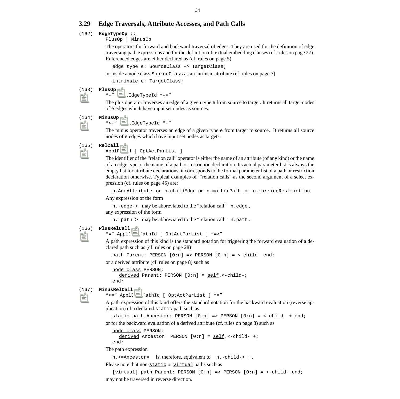# <span id="page-37-0"></span>**3.29 Edge Traversals, Attribute Accesses, and Path Calls**

# (162) **EdgeTypeOp** ::=

PlusOp | MinusOp

The operators for forward and backward traversal of edges. They are used for the definition of edge traversing path expressions and for the definition of textual embedding clauses (cf. [rules on page 27\)](#page-30-0). Referenced edges are either declared as (cf. ru[les on page 5\)](#page-8-0)

edge type e: SourceClass -> TargetClass;

or inside a node class SourceClass as an intrinsic attribute (cf. ru[les on page 7\)](#page-10-0)

intrinsic e: TargetClass;

#### (163) **PlusOp** ::=

"-" ApplEdgeTypeId "->"

The plus operator traverses an edge of a given type e from source to target. It returns all target nodes of e edges which have input set nodes as sources.

#### (164) **MinusOp** ::=

"<-" ApplEdgeTypeId "-"

The minus operator traverses an edge of a given type e from target to source. It returns all source nodes of e edges which have input set nodes as targets.

## (165) **RelCall** ::=

ApplRelId [ [OptActParList \]](#page-40-0)

The identifier of the "relation call" operator is either the name of an attribute (of any kind) or the name of an edge type or the name of a path or restriction declaration. Its actual parameter list is always the empty list for attribute declarations, it corresponds to the formal parameter list of a path or restriction declaration otherwise. Typical examples of "relation calls" as the second argument of a select expression (cf. [rules on page 45\) a](#page-48-0)re:

n.AgeAttribute or n.childEdge or n.motherPath or n.marriedRestriction.

Any expression of the form

n.-edge-> may be abbreviated to the "relation call" n.edge, any expression of the form

n.=path=> may be abbreviated to the "relation call" n.path .

```
(166) PlusRelCall ::=
```
"=" ApplDAttPathId [ [OptActParList \] "=>"](#page-40-0)

A path expression of this kind is the standard notation for triggering the forward evaluation of a declared path such as (cf. r[ules on page 28\)](#page-31-0)

path Parent: PERSON [0:n] => PERSON [0:n] = <-child- end;

or a derived attribute (cf. r[ules on page 8\) su](#page-11-0)ch as

```
node class PERSON;
  derived Parent: PERSON [0:n] = self.<-child-;
end;
```
#### (167) **MinusRelCall** ::=

"<=" ApplDAttPathId [ [OptActParList \] "="](#page-40-0)

A path expression of this kind offers the standard notation for the backward evaluation (reverse application) of a declared static path such as

```
static path Ancestor: PERSON [0:n] => PERSON [0:n] = <-child- + end;
```
or for the backward evaluation of a derived attribute (cf. rul[es on page 8\) suc](#page-11-0)h as

node class PERSON;

```
derived Ancestor: PERSON [0:n] = self. <- child- +;
end;
```
The path expression

n.<=Ancestor= is, therefore, equivalent to n.-child-> + .

Please note that non-static or virtual paths such as

[virtual] path Parent: PERSON [0:n] => PERSON [0:n] = <-child- end; may not be traversed in reverse direction.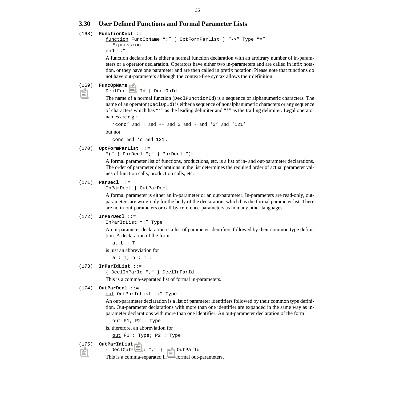# <span id="page-38-0"></span>**3.30 User Defined Functions and Formal Parameter Lists**

### (168) **FunctionDecl** ::=

```
function FuncOpName ":" [ OptFormParList ] "->" Type "="
  Expression
end ";"
```
A function declaration is either a normal function declaration with an arbitrary number of in-parameters or a operator declaration. Operators have either two in-parameters and are called in infix notation, or they have one parameter and are then called in prefix notation. Please note that functions do not have out-parameters although the context-free syntax allows their definition.

#### (169) **FuncOpName** ::=

DeclFunctionId | DeclOpId

The name of a normal function (DeclFunctionId) is a sequence of alphanumeric characters. The name of an operator (DeclOpId) is either a sequence of nonalphanumeric characters or any sequence of characters which has "'" as the leading delimiter and "'" as the trailing delimiter. Legal operator names are e.g.:

```
'conc' and ! and ++ and \frac{1}{5} and \frac{121'}{5}
```
but not

conc and 'c and 121 .

### (170) **OptFormParList** ::=

"(" { ParDecl ";" } ParDecl ")"

A formal parameter list of functions, productions, etc. is a list of in- and out-parameter declarations. The order of parameter declarations in the list determines the required order of actual parameter values of function calls, production calls, etc.

#### (171) **ParDecl** ::=

InParDecl | OutParDecl

A formal parameter is either an in-parameter or an out-parameter. In-parameters are read-only, outparameters are write-only for the body of the declaration, which has the formal parameter list. There are no in-out-parameters or call-by-reference-parameters as in many other languages.

#### (172) **InParDecl** ::=

```
InParIdList ":" Type
```
An in-parameter declaration is a list of parameter identifiers followed by their common type definition. A declaration of the form

a, b : T

is just an abbreviation for

 $a : T; b : T$ .

### (173) **InParIdList** ::=

```
{ DeclInParId "," } DeclInParId
```
This is a comma-separated list of formal in-parameters.

#### (174) **OutParDecl** ::=

out OutParIdList ":" [Type](#page-46-0)

An out-parameter declaration is a list of parameter identifiers followed by their common type definition. Out-parameter declarations with more than one identifier are expanded in the same way as inparameter declarations with more than one identifier. An out-parameter declaration of the form

out P1, P2 : Type

is, therefore, an abbreviation for

out P1 : Type; P2 : Type .

#### (175) **OutParIdList** ::=

{ DeclOutParId "," } DeclOutParId

This is a comma-separated list of formal out-parameters.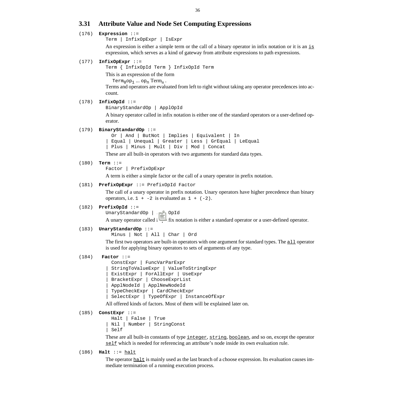# <span id="page-39-0"></span>**3.31 Attribute Value and Node Set Computing Expressions**

### (176) **Expression** ::=

Term | InfixOpExpr | [IsExpr](#page-47-0)

An expression is either a simple term or the call of a binary operator in infix notation or it is an is expression, which serves as a kind of gateway from attribute expressions to path expressions.

#### (177) **InfixOpExpr** ::=

Term { InfixOpId Term } InfixOpId Term

This is an expression of the form

 $Term_0op_1 \dots op_n Term_n$ .

Terms and operators are evaluated from left to right without taking any operator precedences into account.

# (178) **InfixOpId** ::=

```
BinaryStandardOp | ApplOpId
```
A binary operator called in infix notation is either one of the standard operators or a user-defined operator.

#### (179) **BinaryStandardOp** [::=](#page-41-0)

 [Or | And | ButNot | Implies | Equivalent | In](#page-41-0) [|](#page-41-0) [Equal | Unequal | Greater | Less | GrEqual | LeEqual](#page-42-0) [|](#page-42-0) [Plus |](#page-24-0) [Minus | Mult | Div | Mod |](#page-42-0) [Concat](#page-43-0)

These are all built-in operators with two arguments for standard data types.

### (180) **Term** ::=

Factor | PrefixOpExpr

A term is either a simple factor or the call of a unary operator in prefix notation.

#### (181) **PrefixOpExpr** ::= PrefixOpId Factor

The call of a unary operator in prefix notation. Unary operators have higher precedence than binary operators, i.e.  $1 + -2$  is evaluated as  $1 + (-2)$ .

#### (182) **PrefixOpId** ::=

UnaryStandardOp | ApplOpId

A unary operator called in prefix notation is either a standard operator or a user-defined operator.

#### (183) **UnaryStandardOp** [::=](#page-42-0)

 [Minus |](#page-42-0) [Not |](#page-41-0) [All |](#page-44-0) [Char | Ord](#page-42-0)

The first two operators are built-in operators with one argument for standard types. The all operator is used for applying binary operators to sets of arguments of any type.

# (184) **Factor** ::=

```
 ConstExpr | FuncVarParExpr
| StringToValueExpr | ValueToStringExpr
| ExistExpr | ForAllExpr | UseExpr
| BracketExpr | ChooseExprList
| ApplNodeId | ApplNewNodeId
| TypeCheckExpr | CardCheckExpr
| SelectExpr | TypeOfExpr | InstanceOfExpr
```
All offered kinds of factors. Most of them will be explained later on.

#### (185) **ConstExpr** ::=

```
 Halt | False | True
| Nil | Number | StringConst
| Self
```
These are all built-in constants of type integer, string, boolean, and so on, except the operator self which is needed for referencing an attribute's node inside its own evaluation rule.

(186) **Halt** ::= halt

The operator  $\underline{halt}$  is mainly used as the last branch of a choose expression. Its evaluation causes immediate termination of a running execution process.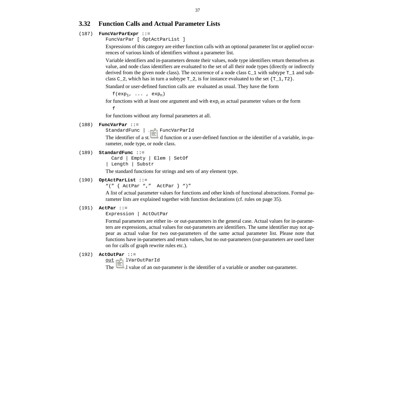# <span id="page-40-0"></span>**3.32 Function Calls and Actual Parameter Lists**

### (187) **FuncVarParExpr** ::=

FuncVarPar [ OptActParList ]

Expressions of this category are either function calls with an optional parameter list or applied occurrences of various kinds of identifiers without a parameter list.

Variable identifiers and in-parameters denote their values, node type identifiers return themselves as value, and node class identifiers are evaluated to the set of all their node types (directly or indirectly derived from the given node class). The occurrence of a node class  $C_1$  with subtype  $T_1$  and subclass C\_2, which has in turn a subtype  $T_2$ , is for instance evaluated to the set  ${T_1, T2}$ .

Standard or user-defined function calls are evaluated as usual. They have the form

 $f(exp_1, \ldots, exp_n)$ 

for functions with at least one argument and with  $\exp_{i}$  as actual parameter values or the form f

for functions without any formal parameters at all.

#### (188) **FuncVarPar** ::=

StandardFunc | ApplFuncVarParId

The identifier of a standard function or a user-defined function or the identifier of a variable, in-parameter, node type, or node class.

#### (189) **StandardFunc** [::=](#page-41-0)

 [Card | Empty | Elem | SetOf](#page-41-0) [|](#page-41-0) [Length | Substr](#page-43-0)

The standard functions for strings and sets of any element type.

### (190) **OptActParList** ::=

"(" { ActPar "," ActPar } ")"

A list of actual parameter values for functions and other kinds of functional abstractions. Formal parameter lists are explained together with function declarations (cf. rul[es on page 35\).](#page-38-0)

#### (191) **ActPar** [::=](#page-39-0)

[Expression | A](#page-39-0)ctOutPar

Formal parameters are either in- or out-parameters in the general case. Actual values for in-parameters are expressions, actual values for out-parameters are identifiers. The same identifier may not appear as actual value for two out-parameters of the same actual parameter list. Please note that functions have in-parameters and return values, but no out-parameters (out-parameters are used later on for calls of graph rewrite rules etc.).

#### (192) **ActOutPar** ::=

out ApplVarOutParId

The actual value of an out-parameter is the identifier of a variable or another out-parameter.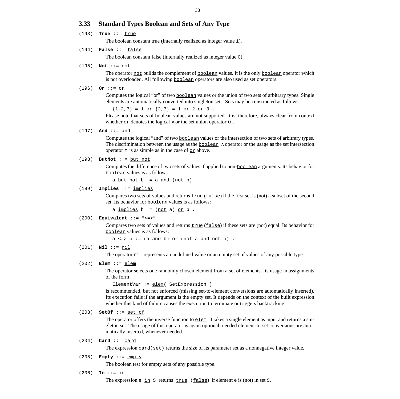# <span id="page-41-0"></span>**3.33 Standard Types Boolean and Sets of Any Type**

(193) **True** ::= **true** 

The boolean constant <u>true</u> (internally realized as integer value 1).

(194) **False** ::= false

The boolean constant false (internally realized as integer value 0).

(195) **Not** ::= not

The operator not builds the complement of <u>boolean</u> values. It is the only boolean operator which is not overloaded. All following boolean operators are also used as set operators.

#### (196) **Or** ::= or

Computes the logical "or" of two boolean values or the union of two sets of arbitrary types. Single elements are automatically converted into singleton sets. Sets may be constructed as follows:

 ${1,2,3} = 1$  or  ${2,3} = 1$  or  $2$  or  $3$ .

Please note that sets of boolean values are not supported. It is, therefore, always clear from context whether <u>or</u> denotes the logical  $\vee$  or the set union operator  $\cup$ .

# (197) **And** ::= and

Computes the logical "and" of two boolean values or the intersection of two sets of arbitrary types. The discrimination between the usage as the  $\underline{boolean} \wedge operator$  or the usage as the set intersection operator  $\cap$  is as simple as in the case of <u>or</u> above.

### (198) **ButNot** ::= but not

Computes the difference of two sets of values if applied to non-boolean arguments. Its behavior for boolean values is as follows:

a but not  $b := a$  and  $(not b)$ 

#### (199) **Implies** ::= implies

Compares two sets of values and returns  $true$  (false) if the first set is (not) a subset of the second set. Its behavior for boolean values is as follows:

a  $implies b := (not a) or b$ .

### (200) **Equivalent** ::= "<=>"

Compares two sets of values and returns  $true (false)$  if these sets are (not) equal. Its behavior for</u> boolean values is as follows:

 $a \iff b := (a \text{ and } b) \text{ or } (\text{not } a \text{ and } \text{not } b)$ .

#### (201) **Nil** ::= nil

The operator nil represents an undefined value or an empty set of values of any possible type.

### (202) **Elem** ::= elem

The operator selects one randomly chosen element from a set of elements. Its usage in assignments of the form

```
ElementVar := elem( SetExpression )
```
is recommended, but not enforced (missing set-to-element conversions are automatically inserted). Its execution fails if the argument is the empty set. It depends on the context of the built expression whether this kind of failure causes the execution to terminate or triggers backtracking.

### (203) **SetOf** ::= set of

The operator offers the inverse function to  $e \text{lem}$ . It takes a single element as input and returns a singleton set. The usage of this operator is again optional; needed element-to-set conversions are automatically inserted, whenever needed.

### (204) **Card** ::= card

The expression  $\frac{card}{set}$  returns the size of its parameter set as a nonnegative integer value.

(205) **Empty** ::= empty

The boolean test for empty sets of any possible type.

### (206) **In** ::= in

The expression e  $\text{in } S$  returns  $\text{true}$  (false) if element e is (not) in set S.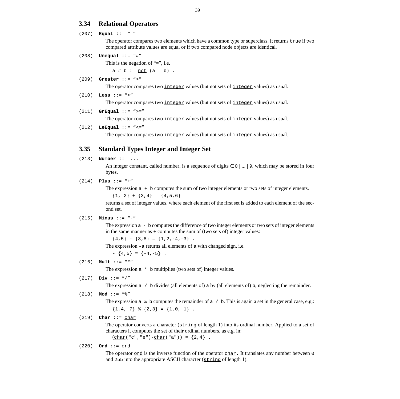# <span id="page-42-0"></span>**3.34 Relational Operators**

### (207) **Equal** ::= "="

The operator compares two elements which have a common type or superclass. It returns  $true$  if two compared attribute values are equal or if two compared node objects are identical.

(208) **Unequal** ::= "#"

This is the negation of  $"="$ , i.e.

 $a \# b := not (a = b)$ .

### (209) **Greater** ::= ">"

The operator compares two integer values (but not sets of integer values) as usual.

# (210) **Less** ::= "<"

The operator compares two integer values (but not sets of integer values) as usual.

# (211) **GrEqual** ::= ">="

The operator compares two integer values (but not sets of integer values) as usual.

#### (212) **LeEqual** ::= "<="

The operator compares two integer values (but not sets of integer values) as usual.

# **3.35 Standard Types Integer and Integer Set**

# (213) **Number** ::= ...

An integer constant, called number, is a sequence of digits  $\in$  0 | ... | 9, which may be stored in four bytes.

### (214) **Plus** ::= "+"

The expression a + b computes the sum of two integer elements or two sets of integer elements.

 ${1, 2} + {3, 4} = {4, 5, 6}$ 

returns a set of integer values, where each element of the first set is added to each element of the second set.

# (215) **Minus** ::= "-"

The expression  $a - b$  computes the difference of two integer elements or two sets of integer elements in the same manner as + computes the sum of (two sets of) integer values:

 ${4,5} - {3,8} = {1,2,-4,-3}$ .

The expression -a returns all elements of a with changed sign, i.e.

 $- \{4, 5\} = \{-4, -5\}$ .

# (216) **Mult** ::= "\*"

The expression  $a * b$  multiplies (two sets of) integer values.

#### (217) **Div** ::= "/"

The expression  $a \neq b$  divides (all elements of) a by (all elements of) b, neglecting the remainder.

```
(218) Mod ::= "%"
```
The expression  $a \triangleq b$  computes the remainder of  $a / b$ . This is again a set in the general case, e.g.:  ${1, 4, -7}$  %  ${2, 3} = {1, 0, -1}$ .

### (219) **Char** ::= char

The operator converts a character ( $\frac{\text{string}}{\text{length}}$  1) into its ordinal number. Applied to a set of characters it computes the set of their ordinal numbers, as e.g. in:  $(\text{char}("c", "e") - \text{char}("a")) = \{2, 4\}$ .

#### (220) **Ord** ::= ord

The operator  $ord$  is the inverse function of the operator  $char$ . It translates any number between 0</u></u> and 255 into the appropriate ASCII character (string of length 1).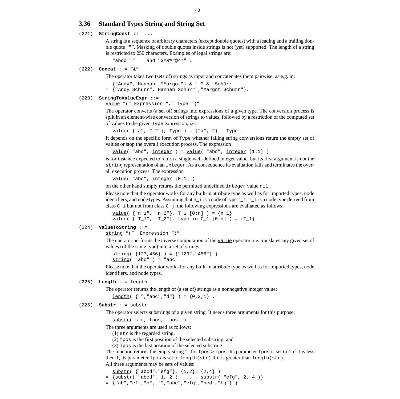# <span id="page-43-0"></span>**3.36 Standard Types String and String Set**

### (221) **StringConst** ::= ...

A string is a sequence of arbitrary characters (except double quotes) with a leading and a trailing double quote """. Masking of double quotes inside strings is not (yet) supported. The length of a string is restricted to 250 characters. Examples of legal strings are:

"abcd''" and "\$^&%#@^\*" .

(222) **Concat** ::= "&"

The operator takes two (sets of) strings as input and concatenates them pairwise, as e.g. in:

{"Andy","Hannah","Margot"} & " " & "Schürr" = {"Andy Schürr","Hannah Schürr","Margot Schürr"}.

#### (223) **StringToValueExpr** ::=

value ["\(" Expression ","](#page-39-0) [Type "\)"](#page-46-0)

The operator converts (a set of) strings into expressions of a given type. The conversion process is split in an element-wise conversion of strings to values, followed by a restriction of the computed set of values to the given Type expression, i.e.

 $value($  {"a", "-2"}, Type ) = {"a",-2} : Type .

It depends on the specific form of Type whether failing string conversions return the empty set of values or stop the overall execution process. The expression

```
value( "abc", integer) = value( "abc", integer [1:1])
```
is for instance expected to return a single well-defined integer value, but its first argument is not the string representation of an integer. As a consequence its evaluation fails and terminates the overall execution process. The expression

```
value( "abc", integer [0:1] )
```
on the other hand simply returns the permitted undefined integer value nil.

Please note that the operator works for any built-in attribute type as well as for imported types, node identifiers, and node types. Assuming that  $n_i$  is a node of type  $T_i$ ,  $T_i$  is a node type derived from class  $C$  i but not from class  $C$  j, the following expressions are evaluated as follows:

```
value( {"n_1", "n_2"}, T_1 [0:n] ) = {n_1}
value( {T_1, "T_2"}, type in C_1 [0:n] ) = {T_1}.
```
#### (224) **ValueToString** ::=

string ["\(" Expression "\)"](#page-39-0)

The operator performs the inverse computation of the value operator, i.e. translates any given set of values (of the same type) into a set of strings:

```
string( {123, 456} ) = {T123", 456" }string('abc") = "abc"
```
Please note that the operator works for any built-in attribute type as well as for imported types, node identifiers, and node types.

# (225) **Length** ::= length

The operator returns the length of (a set of) strings as a nonnegative integer value:

 $length( { " " , "abc", "d" } ) = {0, 3, 1} .$ 

# (226) **Substr** ::= substr

The operator selects substrings of a given string. It needs three arguments for this purpose:

```
substr( str, fpos, lpos ).
```
The three arguments are used as follows:

(1) str is the regarded string,

- (2) fpos is the first position of the selected substring, and
- (3) lpos is the last position of the selected substring.

The function returns the empty string "" for fpos > lpos. Its parameter fpos is set to 1 if it is less then 1, its parameter lpos is set to length( $str$ ) if it is greater than length( $str$ ).

All three arguments may be sets of values:

```
substr( {"abcd","efg"}, {1,2}, {2,4} )
  {\{\texttt{substr}(\ \texttt{"abcd", 1, 2)}, ..., \ \texttt{substr}(\ \texttt{``efg", 2, 4)}\}}= {"ab","ef","b","f","abc","efg","bcd","fg"} ) .
```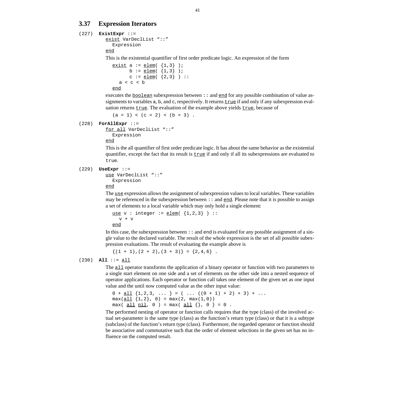# <span id="page-44-0"></span>**3.37 Expression Iterators**

#### (227) **ExistExpr** ::=

```
exist VarDeclList "::"
  Expression
end
```
This is the existential quantifier of first order predicate logic. An expression of the form

```
exist a := elem(\{1.3\});
       b := \text{elem}( \{1,3\} );
       c := \text{elem}( {2,3} ) :a < c < b
```
end

executes the <u>boolean</u> subexpression between  $\cdots$  and end for any possible combination of value assignments to variables a, b, and c, respectively. It returns true if and only if any subexpression evaluation returns  $true$ . The evaluation of the example above yields  $true$ , because of

 $(a = 1) < (c = 2) < (b = 3)$ .

(228) **ForAllExpr** ::=

for all [VarDeclList "::"](#page-45-0) [Expression](#page-39-0)

end

This is the all quantifier of first order predicate logic. It has about the same behavior as the existential quantifier, except the fact that its result is  $true$  if and only if all its subexpressions are evaluated to</u> true.

#### (229) **UseExpr** ::=

```
use VarDeclList "::"
  Expression
```
end

The use expression allows the assignment of subexpression values to local variables. These variables may be referenced in the subexpression between  $\cdots$  and end. Please note that it is possible to assign a set of elements to a local variable which may only hold a single element:

use  $v :$  integer := elem( $\{1,2,3\}$ ) ::  $v + v$ end

In this case, the subexpression between  $\cdots$  and end is evaluated for any possible assignment of a single value to the declared variable. The result of the whole expression is the set of all possible subexpression evaluations. The result of evaluating the example above is

 $\{(1 + 1), (2 + 2), (3 + 3)\} = \{2, 4, 6\}$ .

(230) **All** ::= all

The all operator transforms the application of a binary operator or function with two parameters to a single start element on one side and a set of elements on the other side into a nested sequence of operator applications. Each operator or function call takes one element of the given set as one input value and the until now computed value as the other input value:

```
0 + \underline{\text{all}} \{1,2,3, \ldots \} = (\ldots ((0 + 1) + 2) + 3) + \ldotsmax(\text{all} \{1,2\}, 0) = max(2, max(1,0))max( <u>all nil</u>, 0 ) = max( <u>all</u> \{\}, 0 \} = 0 .
```
The performed nesting of operator or function calls requires that the type (class) of the involved actual set-parameter is the same type (class) as the function's return type (class) or that it is a subtype (subclass) of the function's return type (class). Furthermore, the regarded operator or function should be associative and commutative such that the order of element selections in the given set has no influence on the computed result.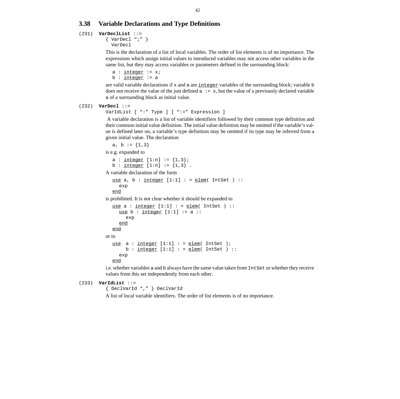# <span id="page-45-0"></span>**3.38 Variable Declarations and Type Definitions**

### (231) **VarDeclList** ::=

```
\{ VarDecl ";" \} VarDecl
```
This is the declaration of a list of local variables. The order of list elements is of no importance. The expressions which assign initial values to introduced variables may not access other variables in the same list, but they may access variables or parameters defined in the surrounding block:

```
a : int\leftarrow := x;
b : <u>integer</u> := a
```
are valid variable declarations if  $x$  and a are  $\frac{int \cdot \text{erf} y}{\text{erf} y}$  variables of the surrounding block; variable b does not receive the value of the just defined  $a := x$ , but the value of a previously declared variable a of a surrounding block as initial value.

#### (232) **VarDecl** ::=

VarIdList [ ":" [Type \] \[ ":="](#page-46-0) [Expression \]](#page-39-0)

A variable declaration is a list of variable identifiers followed by their common type definition and their common initial value definition. The initial value definition may be omitted if the variable's value is defined later on, a variable's type definition may be omitted if its type may be inferred from a given initial value. The declaration

```
a, b := {1,3}
```
is e.g. expanded to

```
a : \frac{interger}{1:n} := \{1,3\};
b : \frac{integer}{1:n} := \{1,3\}.
```
A variable declaration of the form

```
use a, b : integer [1:1] : = elem( IntSet ) ::
  exp
end
```
is prohibited. It is not clear whether it should be expanded to

```
use a : integer [1:1] : = elem( IntSet ) ::
     use b : integer [1:1] := a ::exp
     end
  end
or to
  use a : integer [1:1] : = elem(IntSet);
       b : <u>integer</u> [1:1] : = <u>elem</u>(IntSet) ::exp
  end
```
i.e. whether variables a and b always have the same value taken from IntSet or whether they receive values from this set independently from each other.

```
(233) VarIdList ::=
```
{ DeclVarId "," } DeclVarId

A list of local variable identifiers. The order of list elements is of no importance.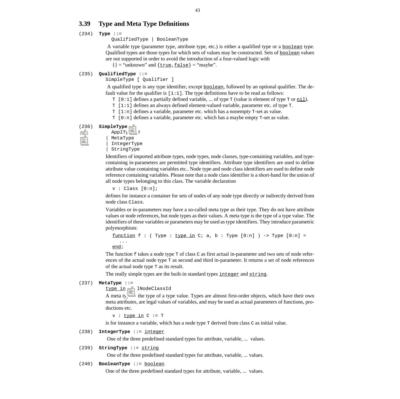# <span id="page-46-0"></span>**3.39 Type and Meta Type Definitions**

# (234) **Type** ::=

QualifiedType | BooleanType

A variable type (parameter type, attribute type, etc.) is either a qualified type or a boolean type. Qualified types are those types for which sets of values may be constructed. Sets of boolean values are not supported in order to avoid the introduction of a four-valued logic with

 $\{\}$  = "unknown" and  $\{true, false\}$  = "maybe".

### (235) **QualifiedType** ::=

SimpleType [ [Qualifier \]](#page-49-0)

A qualified type is any type identifier, except boolean, followed by an optional qualifier. The default value for the qualifier is  $[1:1]$ . The type definitions have to be read as follows:

- $T$  [0:1] defines a partially defined variable, ... of type  $T$  (value is element of type  $T$  or  $\underline{nil}$ ).
- T [1:1] defines an always defined element-valued variable, parameter etc. of type T.
- T [1:n] defines a variable, parameter etc. which has a nonempty T-set as value.
- $T$  [0:n] defines a variable, parameter etc. which has a maybe empty  $T$ -set as value.

### (236) **SimpleType** ::=

```
 ApplTypeId
| MetaType
| IntegerType
StringType
```
Identifiers of imported attribute types, node types, node classes, type-containing variables, and typecontaining in-parameters are permitted type identifiers. Attribute type identifiers are used to define attribute value containing variables etc.. Node type and node class identifiers are used to define node reference containing variables. Please note that a node class identifier is a short-hand for the union of all node types belonging to this class. The variable declaration

 $v : Class [0:n];$ 

defines for instance a container for sets of nodes of any node type directly or indirectly derived from node class Class.

Variables or in-parameters may have a so-called meta type as their type. They do not have attribute values or node references, but node types as their values. A meta type is the type of a type value. The identifiers of these variables or parameters may be used as type identifiers. They introduce parametric polymorphism:

function f : ( Type : type in C; a, b : Type  $[0:n]$  ) -> Type  $[0:n]$  = ... end;

The function f takes a node type  $T$  of class  $C$  as first actual in-parameter and two sets of node references of the actual node type T as second and third in-parameter. It returns a set of node references of the actual node type T as its result.

The really simple types are the built-in standard types integer and string.

### (237) **MetaType** ::=

type in ApplNodeClassId

A meta type is the type of a type value. Types are almost first-order objects, which have their own meta attributes, are legal values of variables, and may be used as actual parameters of functions, productions etc.

 $v : type in C := T$ 

is for instance a variable, which has a node type T derived from class C as initial value.

### (238) **IntegerType** ::= integer

One of the three predefined standard types for attribute, variable, ... values.

# (239) **StringType** ::= string

One of the three predefined standard types for attribute, variable, ... values.

### (240) **BooleanType** ::= boolean

One of the three predefined standard types for attribute, variable, ... values.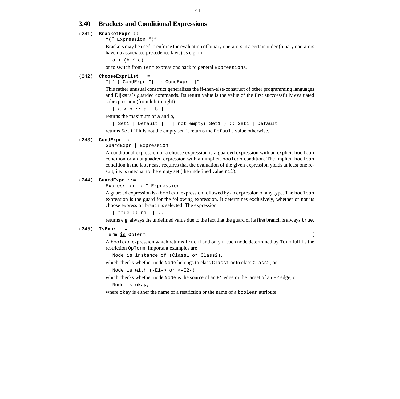# <span id="page-47-0"></span>**3.40 Brackets and Conditional Expressions**

### (241) **BracketExpr** [::=](#page-39-0)

["\(" Expression "\)"](#page-39-0)

Brackets may be used to enforce the evaluation of binary operators in a certain order (binary operators have no associated precedence laws) as e.g. in

 $a + (b * c)$ 

or to switch from Term expressions back to general Expressions.

#### (242) **ChooseExprList** ::=

"[" { CondExpr "|" } CondExpr "]"

This rather unusual construct generalizes the if-then-else-construct of other programming languages and Dijkstra's guarded commands. Its return value is the value of the first succcessfully evaluated subexpression (from left to right):

 $[a > b :: a | b]$ 

returns the maximum of a and b,

 $[Set1 | Default] = [not empty( Set1 ): Set1 | Default]$ 

returns Set1 if it is not the empty set, it returns the Default value otherwise.

### (243) **CondExpr** ::=

GuardExpr | [Expression](#page-39-0)

A conditional expression of a choose expression is a guarded expression with an explicit **boolean** condition or an unguadred expression with an implicit boolean condition. The implicit boolean condition in the latter case requires that the evaluation of the given expression yields at least one result, i.e. is unequal to the empty set (the undefined value  $n \in \mathbb{I}$ ).

#### (244) **GuardExpr** [::=](#page-39-0)

[Expression "::" Expression](#page-39-0)

A guarded expression is a <u>boolean</u> expression followed by an expression of any type. The **boolean** expression is the guard for the following expression. It determines exclusively, whether or not its choose expression branch is selected. The expression

 $[$   $\frac{true}{...}$   $\therefore$   $\frac{nil}{...}$   $]$   $...$  ]

returns e.g. always the undefined value due to the fact that the guard of its first branch is always true.

#### (245) **IsExpr** [::=](#page-39-0)

[Term](#page-39-0) <u>is</u> [OpTerm](#page-33-0) (

A boolean expression which returns true if and only if each node determined by Term fulfills the restriction OpTerm. Important examples are

Node is instance of (Class1 or Class2),

which checks whether node Node belongs to class Class1 or to class Class2, or

Node is with (-E1-> or <-E2-)

which checks whether node Node is the source of an E1 edge or the target of an E2 edge, or Node is okay,

where okay is either the name of a restriction or the name of a **boolean** attribute.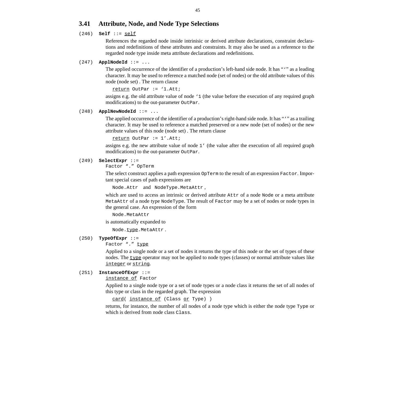# <span id="page-48-0"></span>**3.41 Attribute, Node, and Node Type Selections**

### (246) **Self** ::= self

References the regarded node inside intrinisic or derived attribute declarations, constraint declarations and redefinitions of these attributes and constraints. It may also be used as a reference to the regarded node type inside meta attribute declarations and redefinitions.

#### (247) **ApplNodeId** ::= ...

The applied occurrence of the identifier of a production's left-hand side node. It has "" as a leading character. It may be used to reference a matched node (set of nodes) or the old attribute values of this node (node set) . The return clause

return OutPar := '1.Att;

assigns e.g. the old attribute value of node '1 (the value before the execution of any required graph modifications) to the out-parameter OutPar.

### (248) **ApplNewNodeId** ::= ...

The applied occurrence of the identifier of a production's right-hand side node. It has "'" as a trailing character. It may be used to reference a matched preserved or a new node (set of nodes) or the new attribute values of this node (node set) . The return clause

```
return OutPar := 1'.Att;
```
assigns e.g. the new attribute value of node 1' (the value after the execution of all required graph modifications) to the out-parameter OutPar.

#### (249) **SelectExpr** [::=](#page-39-0)

[Factor "."](#page-39-0) [OpTerm](#page-33-0)

The select construct applies a path expression  $\Diamond p$ Term to the result of an expression Factor. Important special cases of path expressions are

Node.Attr and NodeType.MetaAttr ,

which are used to access an intrinsic or derived attribute Attr of a node Node or a meta attribute MetaAttr of a node type NodeType. The result of Factor may be a set of nodes or node types in the general case. An expression of the form

Node.MetaAttr

is automatically expanded to

Node.type.MetaAttr.

### (250) **TypeOfExpr** [::=](#page-39-0)

[Factor "."](#page-39-0) type

Applied to a single node or a set of nodes it returns the type of this node or the set of types of these nodes. The type operator may not be applied to node types (classes) or normal attribute values like integer or string.

# (251) **InstanceOfExpr** ::=

instance of [Factor](#page-39-0)

Applied to a single node type or a set of node types or a node class it returns the set of all nodes of this type or class in the regarded graph. The expression

card( instance of (Class or Type) )

returns, for instance, the number of all nodes of a node type which is either the node type Type or which is derived from node class Class.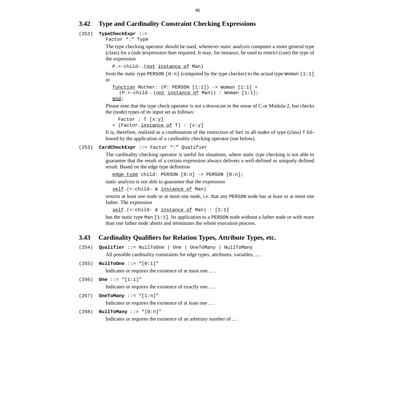# <span id="page-49-0"></span>**3.42 Type and Cardinality Constraint Checking Expressions**

# (252) **TypeCheckExpr** [::=](#page-39-0)

[Factor ":"](#page-39-0) [Type](#page-46-0)

The type checking operator should be used, whenever static analysis computes a more general type (class) for a (sub-)expression than required. It may, for instance, be used to restrict (cast) the type of the expression

```
P.<-child-.(not instance of Man)
```
from the static type PERSON  $[0:n]$  (computed by the type checker) to the actual type Woman  $[1:1]$ in

```
function Mother: (P: PERSON [1:1]) \rightarrow Woman [1:1] =(P.<-child-.(not instance of Man)) : Woman [1:1];
end;
```
Please note that the type check operator is not a downcast in the sense of C or Modula-2, but checks the (node) types of its input set as follows:

```
Factor : T [x:y]= (Factor.instance of T) : [x:y]
```
It is, therefore, realized as a combination of the restriction of Set to all nodes of type (class) T followed by the application of a cardinality checking operator (see below).

# (253) **CardCheckExpr** [::= Factor ":"](#page-39-0) Qualifier

The cardinality checking operator is useful for situations, where static type checking is not able to guarantee that the result of a certain expression always delivers a well-defined or uniquely defined result. Based on the edge type definition

```
edge type child: PERSON [0:n] -> PERSON [0:n];
```
static analysis is not able to guarantee that the expression

self.(<-child- & instance of Man)

returns at least one node or at most one node, i.e. that any PERSON node has at least or at most one father. The expression

```
self.(<-child- & instance of Man) : [1:1]
```
has the static type Man  $[1:1]$ . Its application to a PERSON node without a father node or with more than one father node aborts and terminates the whole execution process.

# **3.43 Cardinality Qualifiers for Relation Types, Attribute Types, etc.**

(254) **Qualifier** ::= NullToOne | One | OneToMany | NullToMany

All possible cardinality constraints for edge types, attributes, variables, ... .

(255) **NullToOne** ::= "[0:1]"

Indicates or requires the existence of at most one ... .

```
(256) One ::= "[1:1]"
```
Indicates or requires the existence of exactly one ... .

```
(257) OneToMany ::= "[1:n]"
           Indicates or requires the existence of at least one ... .
```

```
(258) NullToMany ::= "[0:n]"
```
Indicates or requires the existence of an arbitrary number of ... .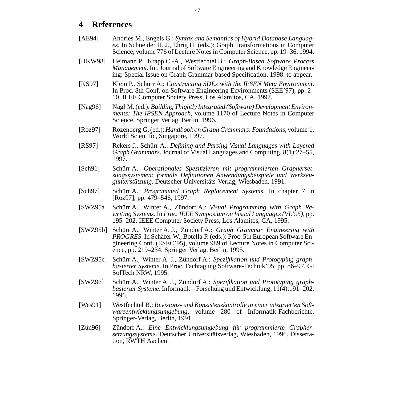# <span id="page-50-0"></span>**4 References**

- [AE94] Andries M., Engels G.: *Syntax and Semantics of Hybrid Database Languages*. In Schneider H. J., Ehrig H. (eds.): Graph Transformations in Computer Science, volume 776 of Lecture Notes in Computer Science, pp. 19–36, 1994.
- [HKW98] Heimann P., Krapp C.-A., Westfechtel B.: *Graph-Based Software Process Management*. Int. Journal of Software Engineering and Knowledge Engineering: Special Issue on Graph Grammar-based Specification, 1998. to appear.
- [KS97] Klein P., Schürr A.: *Constructing SDEs with the IPSEN Meta Environment*. In Proc. 8th Conf. on Software Engineering Environments (SEE'97), pp. 2– 10. IEEE Computer Society Press, Los Alamitos, CA, 1997.
- [Nag96] Nagl M. (ed.): *Building Thightly Integrated (Software) Development Environments: The IPSEN Approach*, volume 1170 of Lecture Notes in Computer Science. Springer Verlag, Berlin, 1996.
- [Roz97] Rozenberg G. (ed.): *Handbook on Graph Grammars: Foundations*, volume 1. World Scientific, Singapore, 1997.
- [RS97] Rekers J., Schürr A.: *Defining and Parsing Visual Languages with Layered Graph Grammars*. Journal of Visual Languages and Computing, 8(1):27–55, 1997.
- [Sch91] Schürr A.: *Operationales Spezifizieren mit programmierten Graphersetzungssystemen: formale Definitionen Anwendungsbeispiele und Werkzeugunterstützung*. Deutscher Universitäts-Verlag, Wiesbaden, 1991.
- [Sch97] Schürr A.: *Programmed Graph Replacement Systems*. In chapter 7 in [Roz97], pp. 479–546, 1997.
- [SWZ95a] Schürr A., Winter A., Zündorf A.: *Visual Programming with Graph Rewriting Systems*. In *Proc. IEEE Symposium on Visual Languages (VL'95)*, pp. 195–202. IEEE Computer Society Press, Los Alamitos, CA, 1995.
- [SWZ95b] Schürr A., Winter A. J., Zündorf A.: *Graph Grammar Engineering with PROGRES*. In Schäfer W., Botella P. (eds.): Proc. 5th European Software Engineering Conf. (ESEC'95), volume 989 of Lecture Notes in Computer Science, pp. 219–234. Springer Verlag, Berlin, 1995.
- [SWZ95c] Schürr A., Winter A. J., Zündorf A.: *Spezifikation und Prototyping graphbasierter Systeme*. In Proc. Fachtagung Software-Technik'95, pp. 86–97. GI SofTech NRW, 1995.
- [SWZ96] Schürr A., Winter A. J., Zündorf A.: *Spezifikation und Prototyping graphbasierter Systeme*. Informatik – Forschung und Entwicklung, 11(4):191–202, 1996.
- [Wes91] Westfechtel B.: *Revisions- und Konsistenzkontrolle in einer integrierten Softwareentwicklungsumgebung*, volume 280 of Informatik-Fachberichte. Springer-Verlag, Berlin, 1991.
- [Zün96] Zündorf A.: *Eine Entwicklungsumgebung für programmierte Graphersetzungssysteme*. Deutscher Universitätsverlag, Wiesbaden, 1996. Dissertation, RWTH Aachen.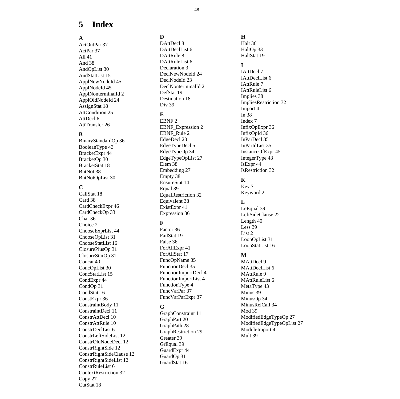# <span id="page-51-0"></span>**5 Index**

# **A**

[ActOutPar 37](#page-40-0) [ActPar 37](#page-40-0) [All 41](#page-44-0) [And 38](#page-41-0) [AndOpList 30](#page-33-0) [AndStatList 15](#page-18-0) [ApplNewNodeId 45](#page-48-0) [ApplNodeId 45](#page-48-0) [ApplNonterminalId 2](#page-5-0) [ApplOldNodeId 24](#page-27-0) [AssignStat 18](#page-21-0) [AttCondition 25](#page-28-0) [AttDecl 6](#page-9-0) [AttTransfer 26](#page-29-0)

# **B**

[BinaryStandardOp 36](#page-39-0) [BooleanType 43](#page-46-0) [BracketExpr 44](#page-47-0) [BracketOp 30](#page-33-0) [BracketStat 18](#page-21-0) [ButNot 38](#page-41-0) [ButNotOpList 30](#page-33-0)

# **C**

[CallStat 18](#page-21-0) [Card 38](#page-41-0) [CardCheckExpr 46](#page-49-0) [CardCheckOp 33](#page-36-0) [Char 36](#page-39-0) Choice 2 [ChooseExprList 44](#page-47-0) [ChooseOpList 31](#page-34-0) [ChooseStatList 16](#page-19-0) [ClosurePlusOp 31](#page-34-0) [ClosureStarOp 31](#page-34-0) [Concat 40](#page-43-0) [ConcOpList 30](#page-33-0) [ConcStatList 15](#page-18-0) [CondExpr 44](#page-47-0) [CondOp 31](#page-34-0) [CondStat 16](#page-19-0) [ConstExpr 36](#page-39-0) [ConstraintBody 11](#page-14-0) [ConstraintDecl 11](#page-14-0) [ConstrAttDecl 10](#page-13-0) [ConstrAttRule 10](#page-13-0) [ConstrDeclList 6](#page-9-0) [ConstrLeftSideList 12](#page-15-0) [ConstrOldNodeDecl 12](#page-15-0) [ConstrRightSide 12](#page-15-0) [ConstrRightSideClause 12](#page-15-0) [ConstrRightSideList 12](#page-15-0) [ConstrRuleList 6](#page-9-0) [ContextRestriction 32](#page-35-0) [Copy 27](#page-30-0) [CutStat 18](#page-21-0)

# **D**

[DAttDecl 8](#page-11-0) [DAttDeclList 6](#page-9-0) [DAttRule 8](#page-11-0) [DAttRuleList 6](#page-9-0) Declaration 3 [DeclNewNodeId 24](#page-27-0) [DeclNodeId 23](#page-26-0) [DeclNonterminalId 2](#page-5-0) [DefStat 19](#page-22-0) [Destination 18](#page-21-0) Div<sub>39</sub>

# **E**

[EBNF 2](#page-5-0) [EBNF\\_Expression 2](#page-5-0) [EBNF\\_Rule 2](#page-5-0) [EdgeDecl 23](#page-26-0) [EdgeTypeDecl 5](#page-8-0) [EdgeTypeOp 34](#page-37-0) [EdgeTypeOpList 27](#page-30-0) [Elem 38](#page-41-0) [Embedding 27](#page-30-0) [Empty 38](#page-41-0) [EnsureStat 14](#page-17-0) [Equal 39](#page-42-0) [EqualRestriction 32](#page-35-0) [Equivalent 38](#page-41-0) [ExistExpr 41](#page-44-0) [Expression 36](#page-39-0)

# **F**

[Factor 36](#page-39-0) [FailStat 19](#page-22-0) [False 36](#page-39-0) [ForAllExpr 41](#page-44-0) [ForAllStat 17](#page-20-0) [FuncOpName 35](#page-38-0) [FunctionDecl 35](#page-38-0) [FunctionImportDecl 4](#page-7-0) [FunctionImportList 4](#page-7-0) [FunctionType 4](#page-7-0) [FuncVarPar 37](#page-40-0) [FuncVarParExpr 37](#page-40-0)

# **G**

[GraphConstraint 11](#page-14-0) [GraphPart 20](#page-23-0) [GraphPath 28](#page-31-0) [GraphRestriction 29](#page-32-0) [Greater 39](#page-42-0) [GrEqual 39](#page-42-0) [GuardExpr 44](#page-47-0) [GuardOp 31](#page-34-0) [GuardStat 16](#page-19-0)

# **H**

[Halt 36](#page-39-0) [HaltOp 33](#page-36-0) [HaltStat 19](#page-22-0)

# **I**

[IAttDecl 7](#page-10-0) [IAttDeclList 6](#page-9-0) [IAttRule 7](#page-10-0) [IAttRuleList 6](#page-9-0) [Implies 38](#page-41-0) [ImpliesRestriction 32](#page-35-0) [Import 4](#page-7-0) [In 38](#page-41-0) Index 7 [InfixOpExpr 36](#page-39-0) [InfixOpId 36](#page-39-0) [InParDecl 35](#page-38-0) [InParIdList 35](#page-38-0) [InstanceOfExpr 45](#page-48-0) [IntegerType 43](#page-46-0) [IsExpr 44](#page-47-0) [IsRestriction 32](#page-35-0)

# **K**

Key 7 [Keyword 2](#page-5-0)

# **L**

[LeEqual 39](#page-42-0) [LeftSideClause 22](#page-25-0) [Length 40](#page-43-0) [Less 39](#page-42-0) List  $2$ [LoopOpList 31](#page-34-0) [LoopStatList 16](#page-19-0)

# **M**

[MAttDecl 9](#page-12-0) [MAttDeclList 6](#page-9-0) [MAttRule 9](#page-12-0) [MAttRuleList 6](#page-9-0) [MetaType 43](#page-46-0) [Minus 39](#page-42-0) [MinusOp 34](#page-37-0) [MinusRelCall 34](#page-37-0) [Mod 39](#page-42-0) [ModifiedEdgeTypeOp 27](#page-30-0) [ModifiedEdgeTypeOpList 27](#page-30-0) [ModuleImport 4](#page-7-0) [Mult 39](#page-42-0)